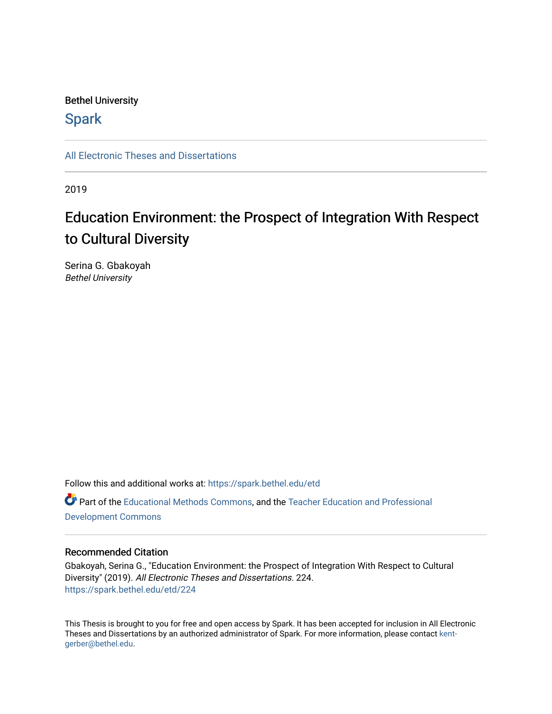## Bethel University

# **Spark**

[All Electronic Theses and Dissertations](https://spark.bethel.edu/etd) 

2019

# Education Environment: the Prospect of Integration With Respect to Cultural Diversity

Serina G. Gbakoyah Bethel University

Follow this and additional works at: [https://spark.bethel.edu/etd](https://spark.bethel.edu/etd?utm_source=spark.bethel.edu%2Fetd%2F224&utm_medium=PDF&utm_campaign=PDFCoverPages) Part of the [Educational Methods Commons,](http://network.bepress.com/hgg/discipline/1227?utm_source=spark.bethel.edu%2Fetd%2F224&utm_medium=PDF&utm_campaign=PDFCoverPages) and the [Teacher Education and Professional](http://network.bepress.com/hgg/discipline/803?utm_source=spark.bethel.edu%2Fetd%2F224&utm_medium=PDF&utm_campaign=PDFCoverPages)  [Development Commons](http://network.bepress.com/hgg/discipline/803?utm_source=spark.bethel.edu%2Fetd%2F224&utm_medium=PDF&utm_campaign=PDFCoverPages) 

### Recommended Citation

Gbakoyah, Serina G., "Education Environment: the Prospect of Integration With Respect to Cultural Diversity" (2019). All Electronic Theses and Dissertations. 224. [https://spark.bethel.edu/etd/224](https://spark.bethel.edu/etd/224?utm_source=spark.bethel.edu%2Fetd%2F224&utm_medium=PDF&utm_campaign=PDFCoverPages)

This Thesis is brought to you for free and open access by Spark. It has been accepted for inclusion in All Electronic Theses and Dissertations by an authorized administrator of Spark. For more information, please contact [kent](mailto:kent-gerber@bethel.edu)[gerber@bethel.edu.](mailto:kent-gerber@bethel.edu)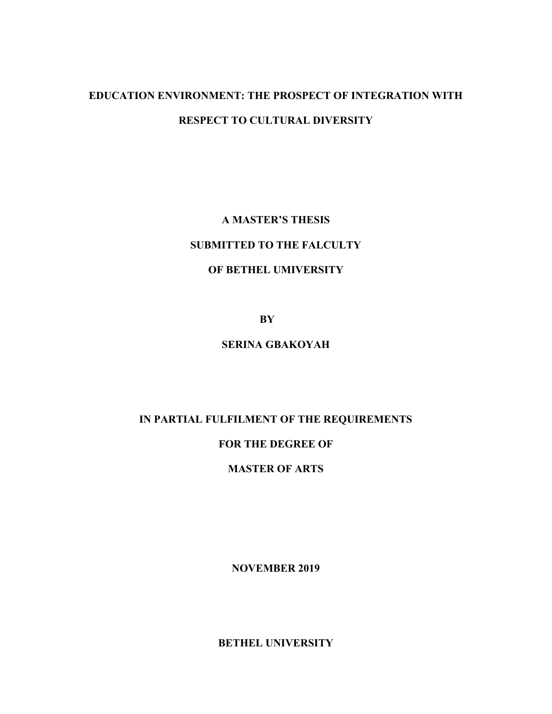# **EDUCATION ENVIRONMENT: THE PROSPECT OF INTEGRATION WITH RESPECT TO CULTURAL DIVERSITY**

**A MASTER'S THESIS SUBMITTED TO THE FALCULTY OF BETHEL UMIVERSITY**

**BY**

# **SERINA GBAKOYAH**

# **IN PARTIAL FULFILMENT OF THE REQUIREMENTS**

## **FOR THE DEGREE OF**

# **MASTER OF ARTS**

**NOVEMBER 2019**

**BETHEL UNIVERSITY**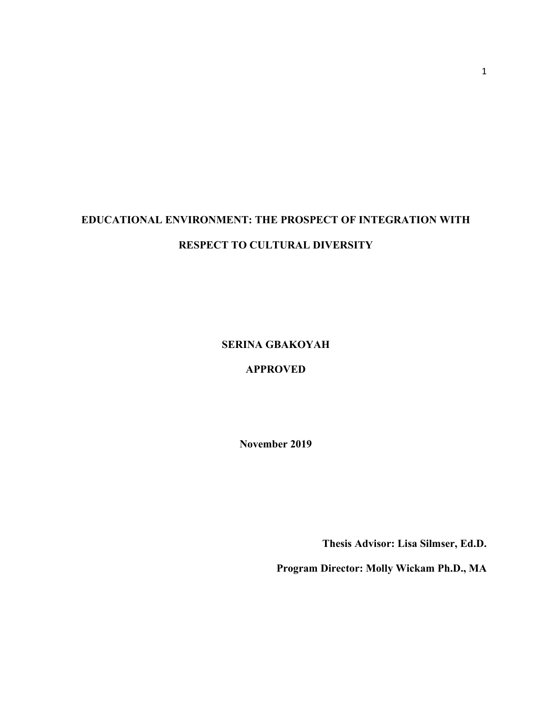# **EDUCATIONAL ENVIRONMENT: THE PROSPECT OF INTEGRATION WITH RESPECT TO CULTURAL DIVERSITY**

**SERINA GBAKOYAH**

**APPROVED**

**November 2019**

**Thesis Advisor: Lisa Silmser, Ed.D.**

**Program Director: Molly Wickam Ph.D., MA**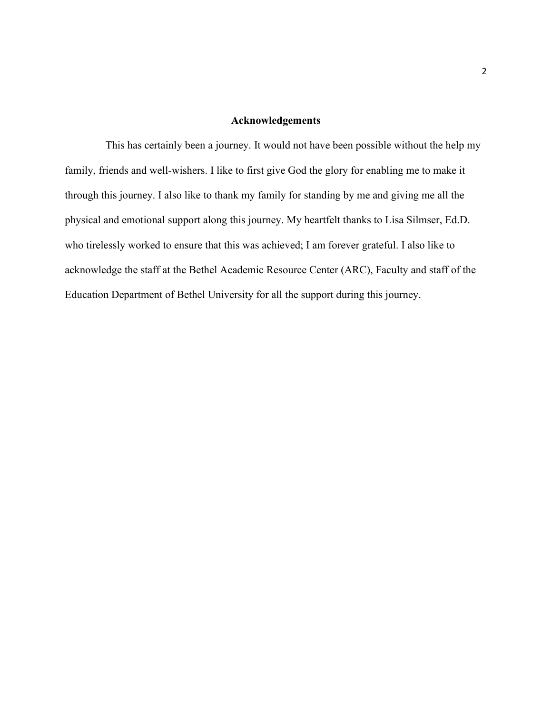### **Acknowledgements**

This has certainly been a journey. It would not have been possible without the help my family, friends and well-wishers. I like to first give God the glory for enabling me to make it through this journey. I also like to thank my family for standing by me and giving me all the physical and emotional support along this journey. My heartfelt thanks to Lisa Silmser, Ed.D. who tirelessly worked to ensure that this was achieved; I am forever grateful. I also like to acknowledge the staff at the Bethel Academic Resource Center (ARC), Faculty and staff of the Education Department of Bethel University for all the support during this journey.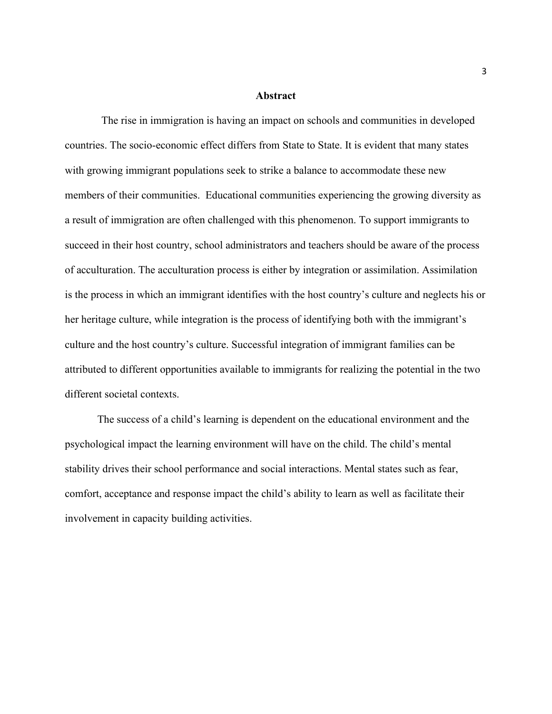#### **Abstract**

The rise in immigration is having an impact on schools and communities in developed countries. The socio-economic effect differs from State to State. It is evident that many states with growing immigrant populations seek to strike a balance to accommodate these new members of their communities. Educational communities experiencing the growing diversity as a result of immigration are often challenged with this phenomenon. To support immigrants to succeed in their host country, school administrators and teachers should be aware of the process of acculturation. The acculturation process is either by integration or assimilation. Assimilation is the process in which an immigrant identifies with the host country's culture and neglects his or her heritage culture, while integration is the process of identifying both with the immigrant's culture and the host country's culture. Successful integration of immigrant families can be attributed to different opportunities available to immigrants for realizing the potential in the two different societal contexts.

The success of a child's learning is dependent on the educational environment and the psychological impact the learning environment will have on the child. The child's mental stability drives their school performance and social interactions. Mental states such as fear, comfort, acceptance and response impact the child's ability to learn as well as facilitate their involvement in capacity building activities.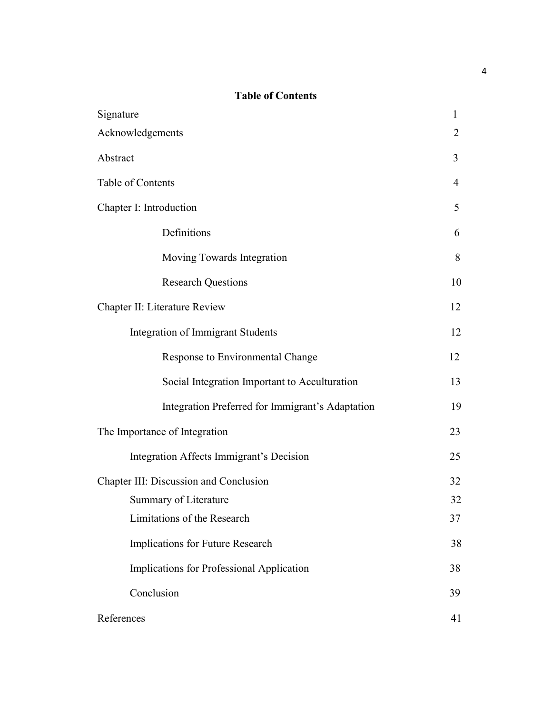# **Table of Contents**

| Signature                                        | 1              |
|--------------------------------------------------|----------------|
| Acknowledgements                                 | 2              |
| Abstract                                         | 3              |
| Table of Contents                                | $\overline{4}$ |
| Chapter I: Introduction                          | 5              |
| Definitions                                      | 6              |
| Moving Towards Integration                       | 8              |
| <b>Research Questions</b>                        | 10             |
| Chapter II: Literature Review                    | 12             |
| Integration of Immigrant Students                | 12             |
| Response to Environmental Change                 | 12             |
| Social Integration Important to Acculturation    | 13             |
| Integration Preferred for Immigrant's Adaptation | 19             |
| The Importance of Integration                    | 23             |
| Integration Affects Immigrant's Decision         | 25             |
| Chapter III: Discussion and Conclusion           | 32             |
| Summary of Literature                            | 32             |
| Limitations of the Research                      | 37             |
| Implications for Future Research                 | 38             |
| Implications for Professional Application        | 38             |
| Conclusion                                       | 39             |
| References                                       | 41             |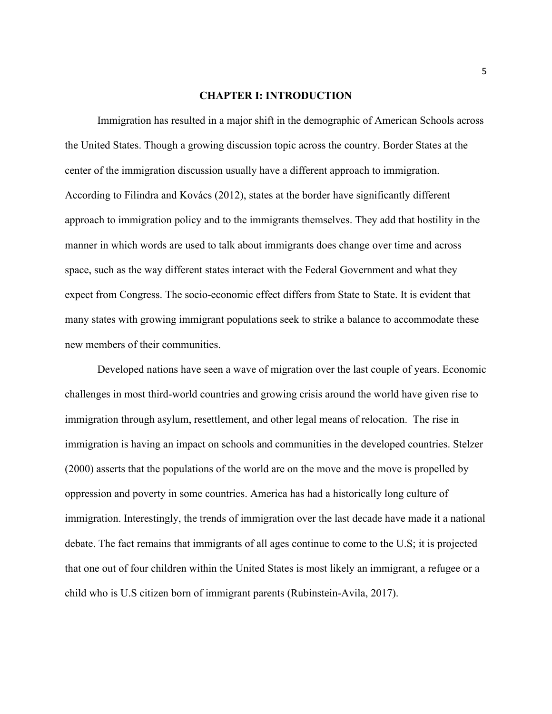#### **CHAPTER I: INTRODUCTION**

Immigration has resulted in a major shift in the demographic of American Schools across the United States. Though a growing discussion topic across the country. Border States at the center of the immigration discussion usually have a different approach to immigration. According to Filindra and Kovács (2012), states at the border have significantly different approach to immigration policy and to the immigrants themselves. They add that hostility in the manner in which words are used to talk about immigrants does change over time and across space, such as the way different states interact with the Federal Government and what they expect from Congress. The socio-economic effect differs from State to State. It is evident that many states with growing immigrant populations seek to strike a balance to accommodate these new members of their communities.

Developed nations have seen a wave of migration over the last couple of years. Economic challenges in most third-world countries and growing crisis around the world have given rise to immigration through asylum, resettlement, and other legal means of relocation. The rise in immigration is having an impact on schools and communities in the developed countries. Stelzer (2000) asserts that the populations of the world are on the move and the move is propelled by oppression and poverty in some countries. America has had a historically long culture of immigration. Interestingly, the trends of immigration over the last decade have made it a national debate. The fact remains that immigrants of all ages continue to come to the U.S; it is projected that one out of four children within the United States is most likely an immigrant, a refugee or a child who is U.S citizen born of immigrant parents (Rubinstein-Avila, 2017).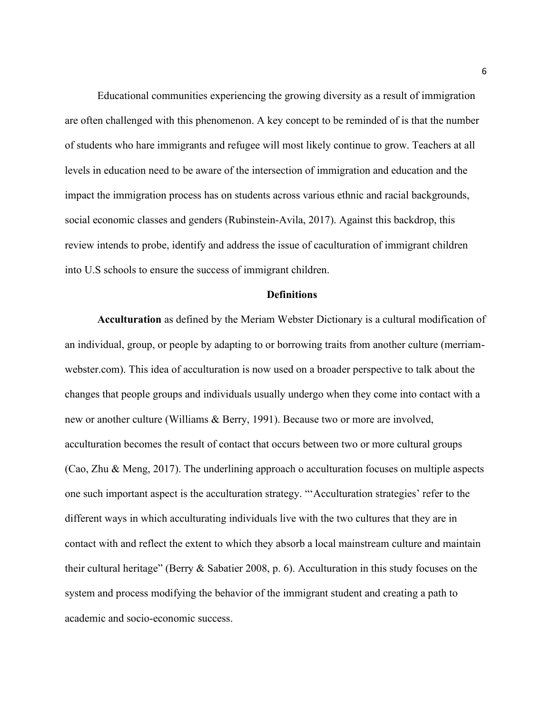Educational communities experiencing the growing diversity as a result of immigration are often challenged with this phenomenon. A key concept to be reminded of is that the number of students who hare immigrants and refugee will most likely continue to grow. Teachers at all levels in education need to be aware of the intersection of immigration and education and the impact the immigration process has on students across various ethnic and racial backgrounds, social economic classes and genders (Rubinstein-Avila, 2017). Against this backdrop, this review intends to probe, identify and address the issue of caculturation of immigrant children into U.S schools to ensure the success of immigrant children.

## **Definitions**

**Acculturation** as defined by the Meriam Webster Dictionary is a cultural modification of an individual, group, or people by adapting to or borrowing traits from another culture (merriamwebster.com). This idea of acculturation is now used on a broader perspective to talk about the changes that people groups and individuals usually undergo when they come into contact with a new or another culture (Williams & Berry, 1991). Because two or more are involved, acculturation becomes the result of contact that occurs between two or more cultural groups (Cao, Zhu & Meng, 2017). The underlining approach o acculturation focuses on multiple aspects one such important aspect is the acculturation strategy. "'Acculturation strategies' refer to the different ways in which acculturating individuals live with the two cultures that they are in contact with and reflect the extent to which they absorb a local mainstream culture and maintain their cultural heritage" (Berry & Sabatier 2008, p. 6). Acculturation in this study focuses on the system and process modifying the behavior of the immigrant student and creating a path to academic and socio-economic success.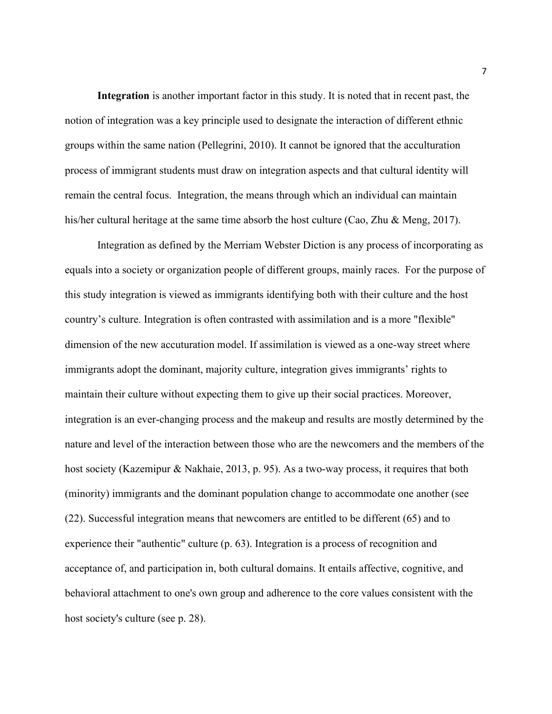**Integration** is another important factor in this study. It is noted that in recent past, the notion of integration was a key principle used to designate the interaction of different ethnic groups within the same nation (Pellegrini, 2010). It cannot be ignored that the acculturation process of immigrant students must draw on integration aspects and that cultural identity will remain the central focus. Integration, the means through which an individual can maintain his/her cultural heritage at the same time absorb the host culture (Cao, Zhu & Meng, 2017).

Integration as defined by the Merriam Webster Diction is any process of incorporating as equals into a society or organization people of different groups, mainly races. For the purpose of this study integration is viewed as immigrants identifying both with their culture and the host country's culture. Integration is often contrasted with assimilation and is a more "flexible" dimension of the new accuturation model. If assimilation is viewed as a one-way street where immigrants adopt the dominant, majority culture, integration gives immigrants' rights to maintain their culture without expecting them to give up their social practices. Moreover, integration is an ever-changing process and the makeup and results are mostly determined by the nature and level of the interaction between those who are the newcomers and the members of the host society (Kazemipur & Nakhaie, 2013, p. 95). As a two-way process, it requires that both (minority) immigrants and the dominant population change to accommodate one another (see (22). Successful integration means that newcomers are entitled to be different (65) and to experience their "authentic" culture (p. 63). Integration is a process of recognition and acceptance of, and participation in, both cultural domains. It entails affective, cognitive, and behavioral attachment to one's own group and adherence to the core values consistent with the host society's culture (see p. 28).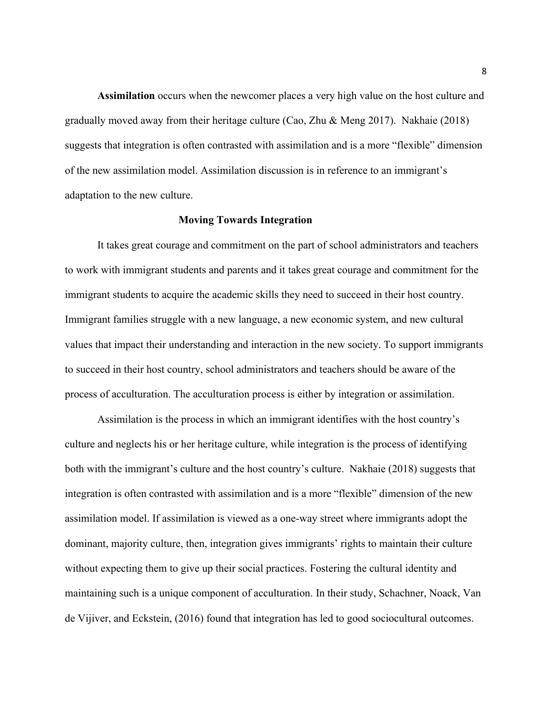**Assimilation** occurs when the newcomer places a very high value on the host culture and gradually moved away from their heritage culture (Cao, Zhu & Meng 2017). Nakhaie (2018) suggests that integration is often contrasted with assimilation and is a more "flexible" dimension of the new assimilation model. Assimilation discussion is in reference to an immigrant's adaptation to the new culture.

#### **Moving Towards Integration**

It takes great courage and commitment on the part of school administrators and teachers to work with immigrant students and parents and it takes great courage and commitment for the immigrant students to acquire the academic skills they need to succeed in their host country. Immigrant families struggle with a new language, a new economic system, and new cultural values that impact their understanding and interaction in the new society. To support immigrants to succeed in their host country, school administrators and teachers should be aware of the process of acculturation. The acculturation process is either by integration or assimilation.

Assimilation is the process in which an immigrant identifies with the host country's culture and neglects his or her heritage culture, while integration is the process of identifying both with the immigrant's culture and the host country's culture. Nakhaie (2018) suggests that integration is often contrasted with assimilation and is a more "flexible" dimension of the new assimilation model. If assimilation is viewed as a one-way street where immigrants adopt the dominant, majority culture, then, integration gives immigrants' rights to maintain their culture without expecting them to give up their social practices. Fostering the cultural identity and maintaining such is a unique component of acculturation. In their study, Schachner, Noack, Van de Vijiver, and Eckstein, (2016) found that integration has led to good sociocultural outcomes.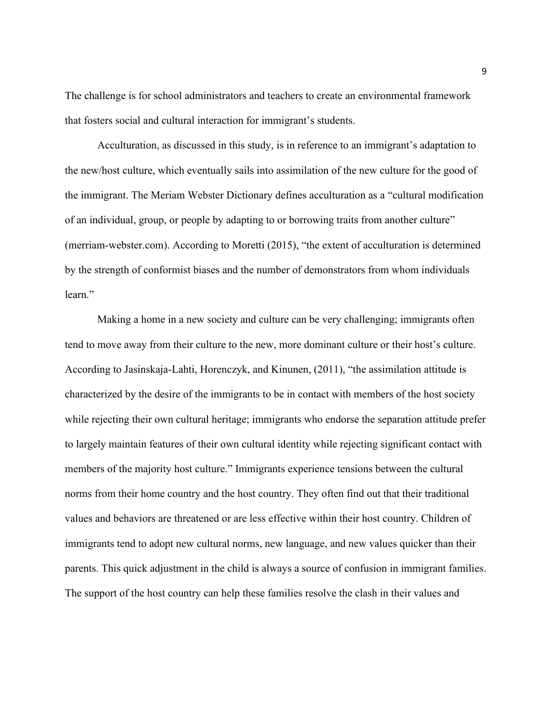The challenge is for school administrators and teachers to create an environmental framework that fosters social and cultural interaction for immigrant's students.

Acculturation, as discussed in this study, is in reference to an immigrant's adaptation to the new/host culture, which eventually sails into assimilation of the new culture for the good of the immigrant. The Meriam Webster Dictionary defines acculturation as a "cultural modification of an individual, group, or people by adapting to or borrowing traits from another culture" (merriam-webster.com). According to Moretti (2015), "the extent of acculturation is determined by the strength of conformist biases and the number of demonstrators from whom individuals learn."

Making a home in a new society and culture can be very challenging; immigrants often tend to move away from their culture to the new, more dominant culture or their host's culture. According to Jasinskaja-Lahti, Horenczyk, and Kinunen, (2011), "the assimilation attitude is characterized by the desire of the immigrants to be in contact with members of the host society while rejecting their own cultural heritage; immigrants who endorse the separation attitude prefer to largely maintain features of their own cultural identity while rejecting significant contact with members of the majority host culture." Immigrants experience tensions between the cultural norms from their home country and the host country. They often find out that their traditional values and behaviors are threatened or are less effective within their host country. Children of immigrants tend to adopt new cultural norms, new language, and new values quicker than their parents. This quick adjustment in the child is always a source of confusion in immigrant families. The support of the host country can help these families resolve the clash in their values and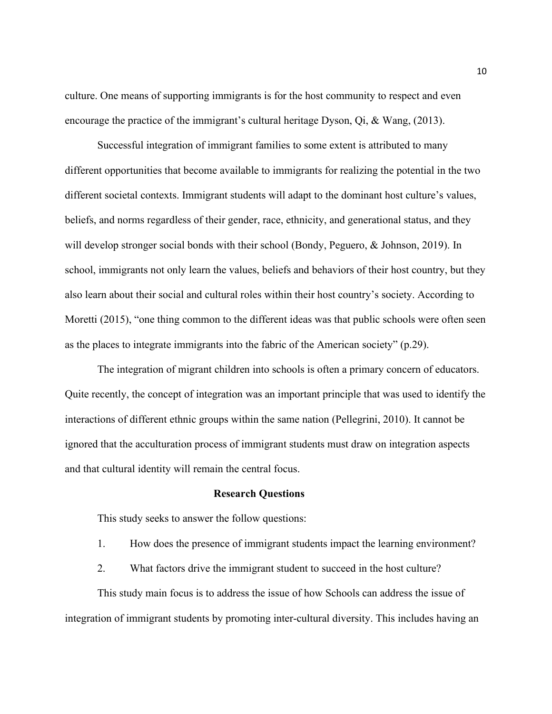culture. One means of supporting immigrants is for the host community to respect and even encourage the practice of the immigrant's cultural heritage Dyson, Qi, & Wang, (2013).

Successful integration of immigrant families to some extent is attributed to many different opportunities that become available to immigrants for realizing the potential in the two different societal contexts. Immigrant students will adapt to the dominant host culture's values, beliefs, and norms regardless of their gender, race, ethnicity, and generational status, and they will develop stronger social bonds with their school (Bondy, Peguero, & Johnson, 2019). In school, immigrants not only learn the values, beliefs and behaviors of their host country, but they also learn about their social and cultural roles within their host country's society. According to Moretti (2015), "one thing common to the different ideas was that public schools were often seen as the places to integrate immigrants into the fabric of the American society" (p.29).

The integration of migrant children into schools is often a primary concern of educators. Quite recently, the concept of integration was an important principle that was used to identify the interactions of different ethnic groups within the same nation (Pellegrini, 2010). It cannot be ignored that the acculturation process of immigrant students must draw on integration aspects and that cultural identity will remain the central focus.

#### **Research Questions**

This study seeks to answer the follow questions:

- 1. How does the presence of immigrant students impact the learning environment?
- 2. What factors drive the immigrant student to succeed in the host culture?

This study main focus is to address the issue of how Schools can address the issue of integration of immigrant students by promoting inter-cultural diversity. This includes having an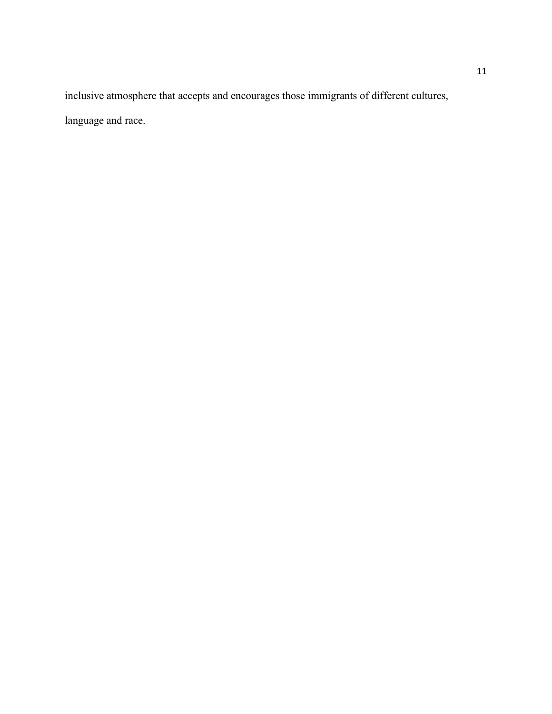inclusive atmosphere that accepts and encourages those immigrants of different cultures, language and race.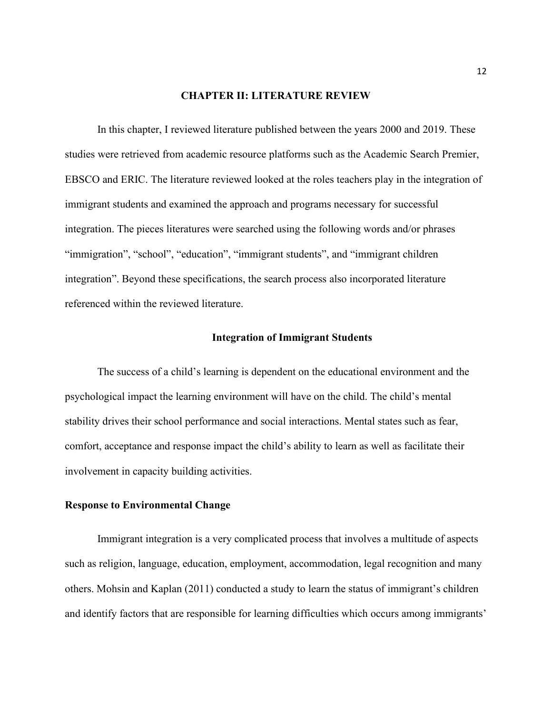#### **CHAPTER II: LITERATURE REVIEW**

In this chapter, I reviewed literature published between the years 2000 and 2019. These studies were retrieved from academic resource platforms such as the Academic Search Premier, EBSCO and ERIC. The literature reviewed looked at the roles teachers play in the integration of immigrant students and examined the approach and programs necessary for successful integration. The pieces literatures were searched using the following words and/or phrases "immigration", "school", "education", "immigrant students", and "immigrant children integration". Beyond these specifications, the search process also incorporated literature referenced within the reviewed literature.

#### **Integration of Immigrant Students**

The success of a child's learning is dependent on the educational environment and the psychological impact the learning environment will have on the child. The child's mental stability drives their school performance and social interactions. Mental states such as fear, comfort, acceptance and response impact the child's ability to learn as well as facilitate their involvement in capacity building activities.

#### **Response to Environmental Change**

Immigrant integration is a very complicated process that involves a multitude of aspects such as religion, language, education, employment, accommodation, legal recognition and many others. Mohsin and Kaplan (2011) conducted a study to learn the status of immigrant's children and identify factors that are responsible for learning difficulties which occurs among immigrants'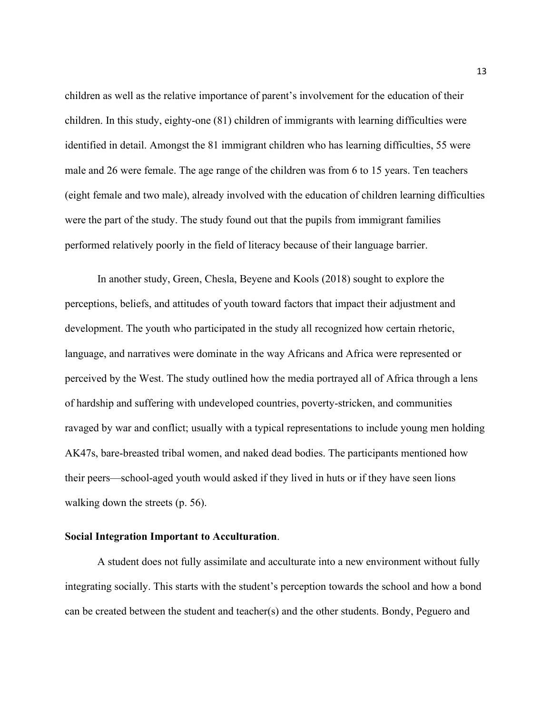children as well as the relative importance of parent's involvement for the education of their children. In this study, eighty-one (81) children of immigrants with learning difficulties were identified in detail. Amongst the 81 immigrant children who has learning difficulties, 55 were male and 26 were female. The age range of the children was from 6 to 15 years. Ten teachers (eight female and two male), already involved with the education of children learning difficulties were the part of the study. The study found out that the pupils from immigrant families performed relatively poorly in the field of literacy because of their language barrier.

In another study, Green, Chesla, Beyene and Kools (2018) sought to explore the perceptions, beliefs, and attitudes of youth toward factors that impact their adjustment and development. The youth who participated in the study all recognized how certain rhetoric, language, and narratives were dominate in the way Africans and Africa were represented or perceived by the West. The study outlined how the media portrayed all of Africa through a lens of hardship and suffering with undeveloped countries, poverty-stricken, and communities ravaged by war and conflict; usually with a typical representations to include young men holding AK47s, bare-breasted tribal women, and naked dead bodies. The participants mentioned how their peers—school-aged youth would asked if they lived in huts or if they have seen lions walking down the streets (p. 56).

### **Social Integration Important to Acculturation**.

A student does not fully assimilate and acculturate into a new environment without fully integrating socially. This starts with the student's perception towards the school and how a bond can be created between the student and teacher(s) and the other students. Bondy, Peguero and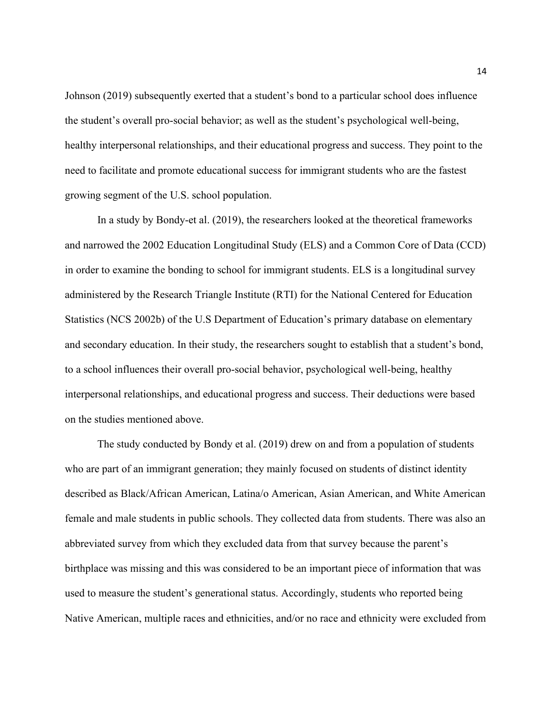Johnson (2019) subsequently exerted that a student's bond to a particular school does influence the student's overall pro-social behavior; as well as the student's psychological well-being, healthy interpersonal relationships, and their educational progress and success. They point to the need to facilitate and promote educational success for immigrant students who are the fastest growing segment of the U.S. school population.

In a study by Bondy-et al. (2019), the researchers looked at the theoretical frameworks and narrowed the 2002 Education Longitudinal Study (ELS) and a Common Core of Data (CCD) in order to examine the bonding to school for immigrant students. ELS is a longitudinal survey administered by the Research Triangle Institute (RTI) for the National Centered for Education Statistics (NCS 2002b) of the U.S Department of Education's primary database on elementary and secondary education. In their study, the researchers sought to establish that a student's bond, to a school influences their overall pro-social behavior, psychological well-being, healthy interpersonal relationships, and educational progress and success. Their deductions were based on the studies mentioned above.

The study conducted by Bondy et al. (2019) drew on and from a population of students who are part of an immigrant generation; they mainly focused on students of distinct identity described as Black/African American, Latina/o American, Asian American, and White American female and male students in public schools. They collected data from students. There was also an abbreviated survey from which they excluded data from that survey because the parent's birthplace was missing and this was considered to be an important piece of information that was used to measure the student's generational status. Accordingly, students who reported being Native American, multiple races and ethnicities, and/or no race and ethnicity were excluded from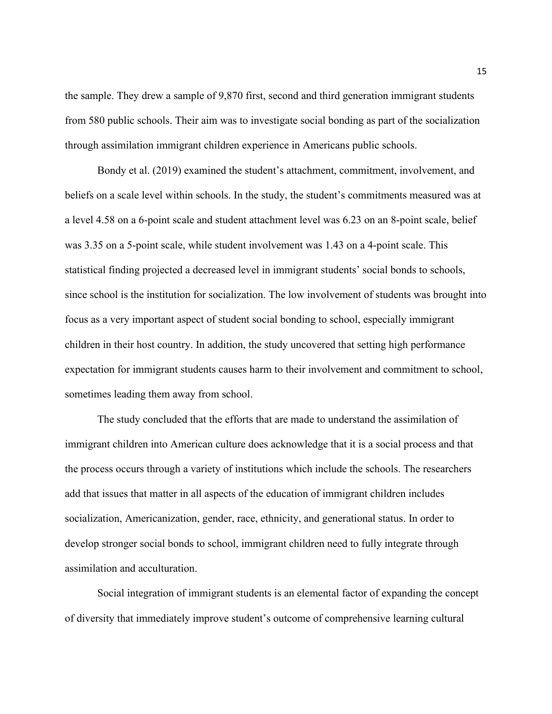the sample. They drew a sample of 9,870 first, second and third generation immigrant students from 580 public schools. Their aim was to investigate social bonding as part of the socialization through assimilation immigrant children experience in Americans public schools.

Bondy et al. (2019) examined the student's attachment, commitment, involvement, and beliefs on a scale level within schools. In the study, the student's commitments measured was at a level 4.58 on a 6-point scale and student attachment level was 6.23 on an 8-point scale, belief was 3.35 on a 5-point scale, while student involvement was 1.43 on a 4-point scale. This statistical finding projected a decreased level in immigrant students' social bonds to schools, since school is the institution for socialization. The low involvement of students was brought into focus as a very important aspect of student social bonding to school, especially immigrant children in their host country. In addition, the study uncovered that setting high performance expectation for immigrant students causes harm to their involvement and commitment to school, sometimes leading them away from school.

The study concluded that the efforts that are made to understand the assimilation of immigrant children into American culture does acknowledge that it is a social process and that the process occurs through a variety of institutions which include the schools. The researchers add that issues that matter in all aspects of the education of immigrant children includes socialization, Americanization, gender, race, ethnicity, and generational status. In order to develop stronger social bonds to school, immigrant children need to fully integrate through assimilation and acculturation.

Social integration of immigrant students is an elemental factor of expanding the concept of diversity that immediately improve student's outcome of comprehensive learning cultural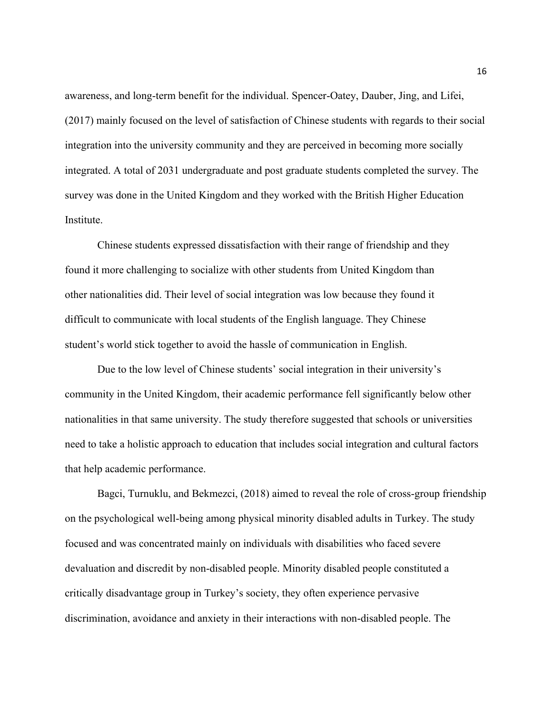awareness, and long-term benefit for the individual. Spencer-Oatey, Dauber, Jing, and Lifei, (2017) mainly focused on the level of satisfaction of Chinese students with regards to their social integration into the university community and they are perceived in becoming more socially integrated. A total of 2031 undergraduate and post graduate students completed the survey. The survey was done in the United Kingdom and they worked with the British Higher Education Institute.

Chinese students expressed dissatisfaction with their range of friendship and they found it more challenging to socialize with other students from United Kingdom than other nationalities did. Their level of social integration was low because they found it difficult to communicate with local students of the English language. They Chinese student's world stick together to avoid the hassle of communication in English.

Due to the low level of Chinese students' social integration in their university's community in the United Kingdom, their academic performance fell significantly below other nationalities in that same university. The study therefore suggested that schools or universities need to take a holistic approach to education that includes social integration and cultural factors that help academic performance.

Bagci, Turnuklu, and Bekmezci, (2018) aimed to reveal the role of cross-group friendship on the psychological well-being among physical minority disabled adults in Turkey. The study focused and was concentrated mainly on individuals with disabilities who faced severe devaluation and discredit by non-disabled people. Minority disabled people constituted a critically disadvantage group in Turkey's society, they often experience pervasive discrimination, avoidance and anxiety in their interactions with non-disabled people. The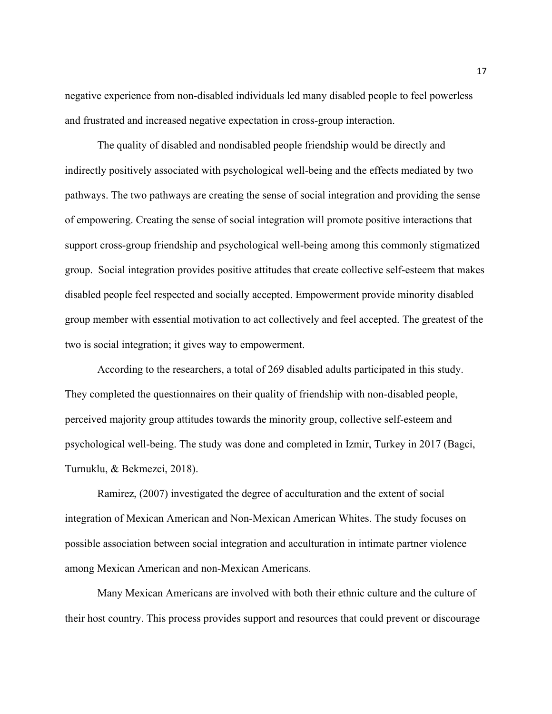negative experience from non-disabled individuals led many disabled people to feel powerless and frustrated and increased negative expectation in cross-group interaction.

The quality of disabled and nondisabled people friendship would be directly and indirectly positively associated with psychological well-being and the effects mediated by two pathways. The two pathways are creating the sense of social integration and providing the sense of empowering. Creating the sense of social integration will promote positive interactions that support cross-group friendship and psychological well-being among this commonly stigmatized group. Social integration provides positive attitudes that create collective self-esteem that makes disabled people feel respected and socially accepted. Empowerment provide minority disabled group member with essential motivation to act collectively and feel accepted. The greatest of the two is social integration; it gives way to empowerment.

According to the researchers, a total of 269 disabled adults participated in this study. They completed the questionnaires on their quality of friendship with non-disabled people, perceived majority group attitudes towards the minority group, collective self-esteem and psychological well-being. The study was done and completed in Izmir, Turkey in 2017 (Bagci, Turnuklu, & Bekmezci, 2018).

Ramirez, (2007) investigated the degree of acculturation and the extent of social integration of Mexican American and Non-Mexican American Whites. The study focuses on possible association between social integration and acculturation in intimate partner violence among Mexican American and non-Mexican Americans.

Many Mexican Americans are involved with both their ethnic culture and the culture of their host country. This process provides support and resources that could prevent or discourage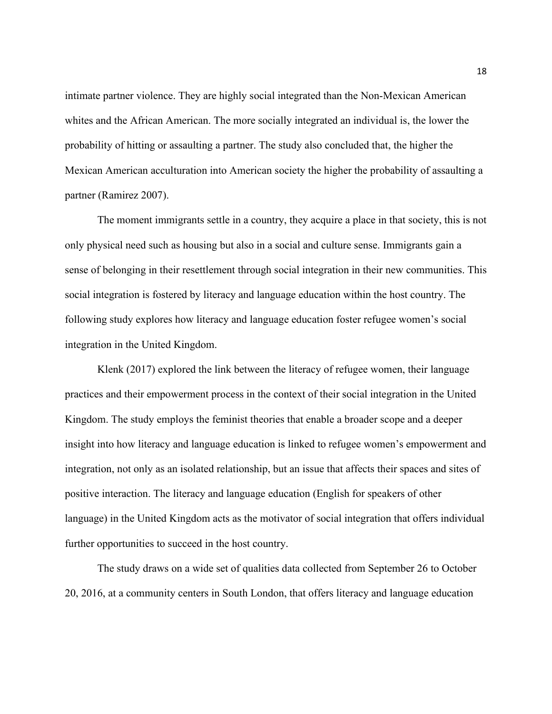intimate partner violence. They are highly social integrated than the Non-Mexican American whites and the African American. The more socially integrated an individual is, the lower the probability of hitting or assaulting a partner. The study also concluded that, the higher the Mexican American acculturation into American society the higher the probability of assaulting a partner (Ramirez 2007).

The moment immigrants settle in a country, they acquire a place in that society, this is not only physical need such as housing but also in a social and culture sense. Immigrants gain a sense of belonging in their resettlement through social integration in their new communities. This social integration is fostered by literacy and language education within the host country. The following study explores how literacy and language education foster refugee women's social integration in the United Kingdom.

Klenk (2017) explored the link between the literacy of refugee women, their language practices and their empowerment process in the context of their social integration in the United Kingdom. The study employs the feminist theories that enable a broader scope and a deeper insight into how literacy and language education is linked to refugee women's empowerment and integration, not only as an isolated relationship, but an issue that affects their spaces and sites of positive interaction. The literacy and language education (English for speakers of other language) in the United Kingdom acts as the motivator of social integration that offers individual further opportunities to succeed in the host country.

The study draws on a wide set of qualities data collected from September 26 to October 20, 2016, at a community centers in South London, that offers literacy and language education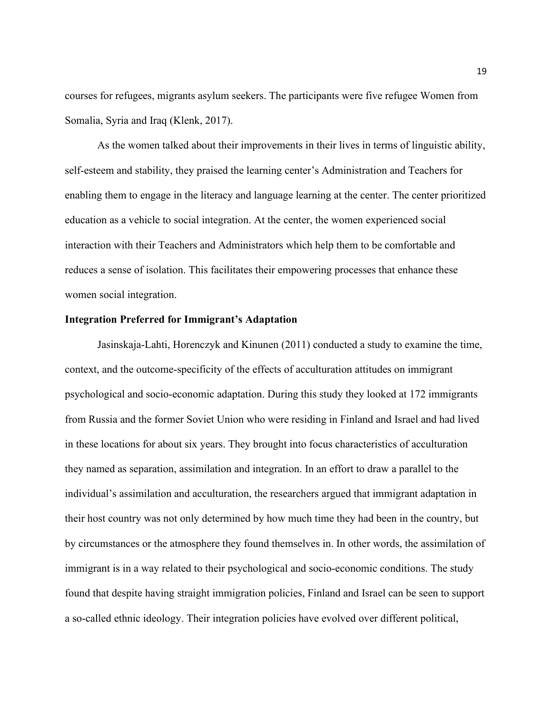courses for refugees, migrants asylum seekers. The participants were five refugee Women from Somalia, Syria and Iraq (Klenk, 2017).

As the women talked about their improvements in their lives in terms of linguistic ability, self-esteem and stability, they praised the learning center's Administration and Teachers for enabling them to engage in the literacy and language learning at the center. The center prioritized education as a vehicle to social integration. At the center, the women experienced social interaction with their Teachers and Administrators which help them to be comfortable and reduces a sense of isolation. This facilitates their empowering processes that enhance these women social integration.

#### **Integration Preferred for Immigrant's Adaptation**

Jasinskaja-Lahti, Horenczyk and Kinunen (2011) conducted a study to examine the time, context, and the outcome-specificity of the effects of acculturation attitudes on immigrant psychological and socio-economic adaptation. During this study they looked at 172 immigrants from Russia and the former Soviet Union who were residing in Finland and Israel and had lived in these locations for about six years. They brought into focus characteristics of acculturation they named as separation, assimilation and integration. In an effort to draw a parallel to the individual's assimilation and acculturation, the researchers argued that immigrant adaptation in their host country was not only determined by how much time they had been in the country, but by circumstances or the atmosphere they found themselves in. In other words, the assimilation of immigrant is in a way related to their psychological and socio-economic conditions. The study found that despite having straight immigration policies, Finland and Israel can be seen to support a so-called ethnic ideology. Their integration policies have evolved over different political,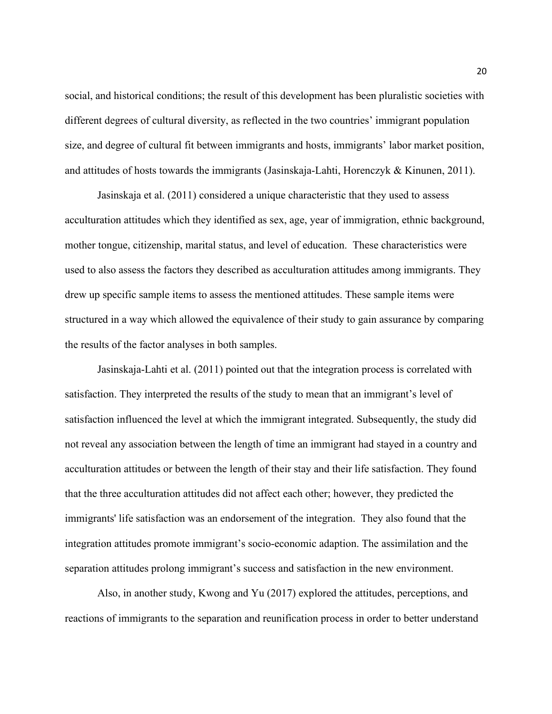social, and historical conditions; the result of this development has been pluralistic societies with different degrees of cultural diversity, as reflected in the two countries' immigrant population size, and degree of cultural fit between immigrants and hosts, immigrants' labor market position, and attitudes of hosts towards the immigrants (Jasinskaja-Lahti, Horenczyk & Kinunen, 2011).

Jasinskaja et al. (2011) considered a unique characteristic that they used to assess acculturation attitudes which they identified as sex, age, year of immigration, ethnic background, mother tongue, citizenship, marital status, and level of education. These characteristics were used to also assess the factors they described as acculturation attitudes among immigrants. They drew up specific sample items to assess the mentioned attitudes. These sample items were structured in a way which allowed the equivalence of their study to gain assurance by comparing the results of the factor analyses in both samples.

Jasinskaja-Lahti et al. (2011) pointed out that the integration process is correlated with satisfaction. They interpreted the results of the study to mean that an immigrant's level of satisfaction influenced the level at which the immigrant integrated. Subsequently, the study did not reveal any association between the length of time an immigrant had stayed in a country and acculturation attitudes or between the length of their stay and their life satisfaction. They found that the three acculturation attitudes did not affect each other; however, they predicted the immigrants' life satisfaction was an endorsement of the integration. They also found that the integration attitudes promote immigrant's socio-economic adaption. The assimilation and the separation attitudes prolong immigrant's success and satisfaction in the new environment.

Also, in another study, Kwong and Yu (2017) explored the attitudes, perceptions, and reactions of immigrants to the separation and reunification process in order to better understand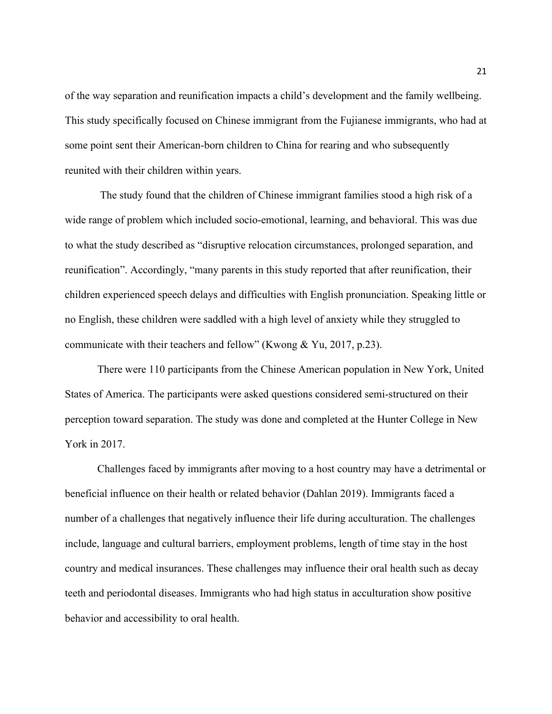of the way separation and reunification impacts a child's development and the family wellbeing. This study specifically focused on Chinese immigrant from the Fujianese immigrants, who had at some point sent their American-born children to China for rearing and who subsequently reunited with their children within years.

The study found that the children of Chinese immigrant families stood a high risk of a wide range of problem which included socio-emotional, learning, and behavioral. This was due to what the study described as "disruptive relocation circumstances, prolonged separation, and reunification". Accordingly, "many parents in this study reported that after reunification, their children experienced speech delays and difficulties with English pronunciation. Speaking little or no English, these children were saddled with a high level of anxiety while they struggled to communicate with their teachers and fellow" (Kwong & Yu, 2017, p.23).

There were 110 participants from the Chinese American population in New York, United States of America. The participants were asked questions considered semi-structured on their perception toward separation. The study was done and completed at the Hunter College in New York in 2017.

Challenges faced by immigrants after moving to a host country may have a detrimental or beneficial influence on their health or related behavior (Dahlan 2019). Immigrants faced a number of a challenges that negatively influence their life during acculturation. The challenges include, language and cultural barriers, employment problems, length of time stay in the host country and medical insurances. These challenges may influence their oral health such as decay teeth and periodontal diseases. Immigrants who had high status in acculturation show positive behavior and accessibility to oral health.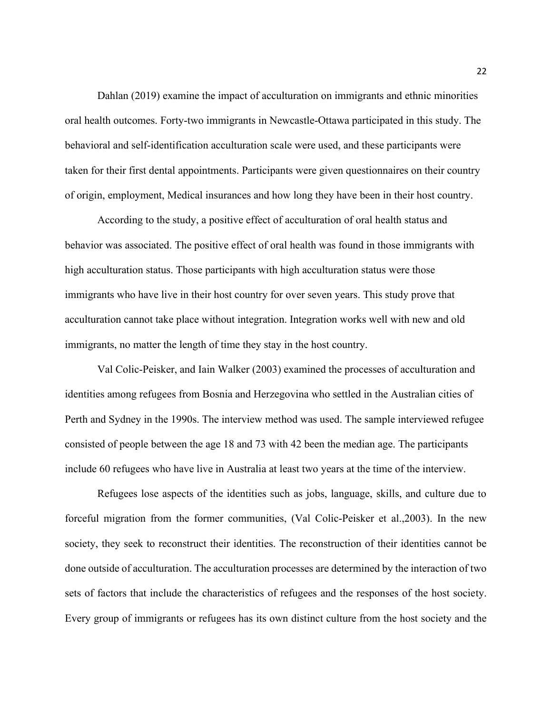Dahlan (2019) examine the impact of acculturation on immigrants and ethnic minorities oral health outcomes. Forty-two immigrants in Newcastle-Ottawa participated in this study. The behavioral and self-identification acculturation scale were used, and these participants were taken for their first dental appointments. Participants were given questionnaires on their country of origin, employment, Medical insurances and how long they have been in their host country.

According to the study, a positive effect of acculturation of oral health status and behavior was associated. The positive effect of oral health was found in those immigrants with high acculturation status. Those participants with high acculturation status were those immigrants who have live in their host country for over seven years. This study prove that acculturation cannot take place without integration. Integration works well with new and old immigrants, no matter the length of time they stay in the host country.

Val Colic-Peisker, and Iain Walker (2003) examined the processes of acculturation and identities among refugees from Bosnia and Herzegovina who settled in the Australian cities of Perth and Sydney in the 1990s. The interview method was used. The sample interviewed refugee consisted of people between the age 18 and 73 with 42 been the median age. The participants include 60 refugees who have live in Australia at least two years at the time of the interview.

Refugees lose aspects of the identities such as jobs, language, skills, and culture due to forceful migration from the former communities, (Val Colic-Peisker et al.,2003). In the new society, they seek to reconstruct their identities. The reconstruction of their identities cannot be done outside of acculturation. The acculturation processes are determined by the interaction of two sets of factors that include the characteristics of refugees and the responses of the host society. Every group of immigrants or refugees has its own distinct culture from the host society and the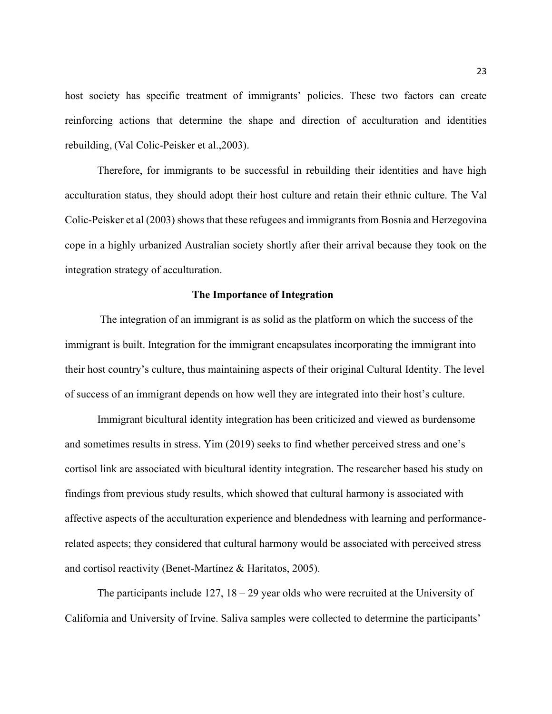host society has specific treatment of immigrants' policies. These two factors can create reinforcing actions that determine the shape and direction of acculturation and identities rebuilding, (Val Colic-Peisker et al.,2003).

Therefore, for immigrants to be successful in rebuilding their identities and have high acculturation status, they should adopt their host culture and retain their ethnic culture. The Val Colic-Peisker et al (2003) shows that these refugees and immigrants from Bosnia and Herzegovina cope in a highly urbanized Australian society shortly after their arrival because they took on the integration strategy of acculturation.

## **The Importance of Integration**

The integration of an immigrant is as solid as the platform on which the success of the immigrant is built. Integration for the immigrant encapsulates incorporating the immigrant into their host country's culture, thus maintaining aspects of their original Cultural Identity. The level of success of an immigrant depends on how well they are integrated into their host's culture.

Immigrant bicultural identity integration has been criticized and viewed as burdensome and sometimes results in stress. Yim (2019) seeks to find whether perceived stress and one's cortisol link are associated with bicultural identity integration. The researcher based his study on findings from previous study results, which showed that cultural harmony is associated with affective aspects of the acculturation experience and blendedness with learning and performancerelated aspects; they considered that cultural harmony would be associated with perceived stress and cortisol reactivity (Benet-Martínez & Haritatos, 2005).

The participants include  $127$ ,  $18 - 29$  year olds who were recruited at the University of California and University of Irvine. Saliva samples were collected to determine the participants'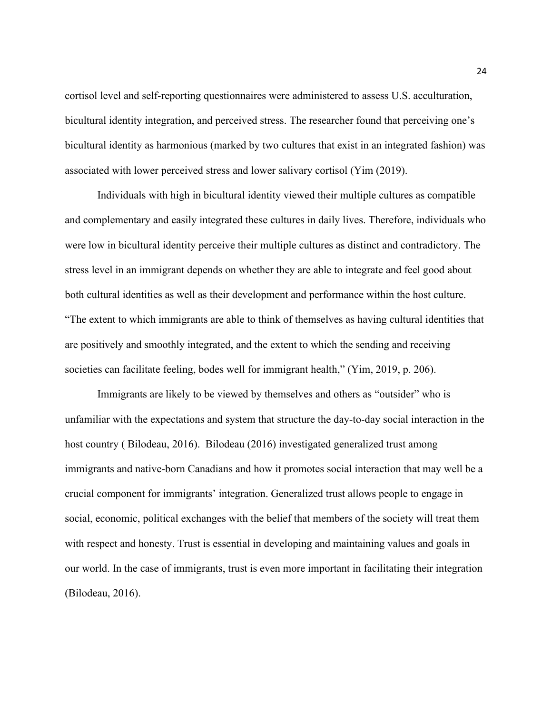cortisol level and self-reporting questionnaires were administered to assess U.S. acculturation, bicultural identity integration, and perceived stress. The researcher found that perceiving one's bicultural identity as harmonious (marked by two cultures that exist in an integrated fashion) was associated with lower perceived stress and lower salivary cortisol (Yim (2019).

Individuals with high in bicultural identity viewed their multiple cultures as compatible and complementary and easily integrated these cultures in daily lives. Therefore, individuals who were low in bicultural identity perceive their multiple cultures as distinct and contradictory. The stress level in an immigrant depends on whether they are able to integrate and feel good about both cultural identities as well as their development and performance within the host culture. "The extent to which immigrants are able to think of themselves as having cultural identities that are positively and smoothly integrated, and the extent to which the sending and receiving societies can facilitate feeling, bodes well for immigrant health," (Yim, 2019, p. 206).

Immigrants are likely to be viewed by themselves and others as "outsider" who is unfamiliar with the expectations and system that structure the day-to-day social interaction in the host country ( Bilodeau, 2016). Bilodeau (2016) investigated generalized trust among immigrants and native-born Canadians and how it promotes social interaction that may well be a crucial component for immigrants' integration. Generalized trust allows people to engage in social, economic, political exchanges with the belief that members of the society will treat them with respect and honesty. Trust is essential in developing and maintaining values and goals in our world. In the case of immigrants, trust is even more important in facilitating their integration (Bilodeau, 2016).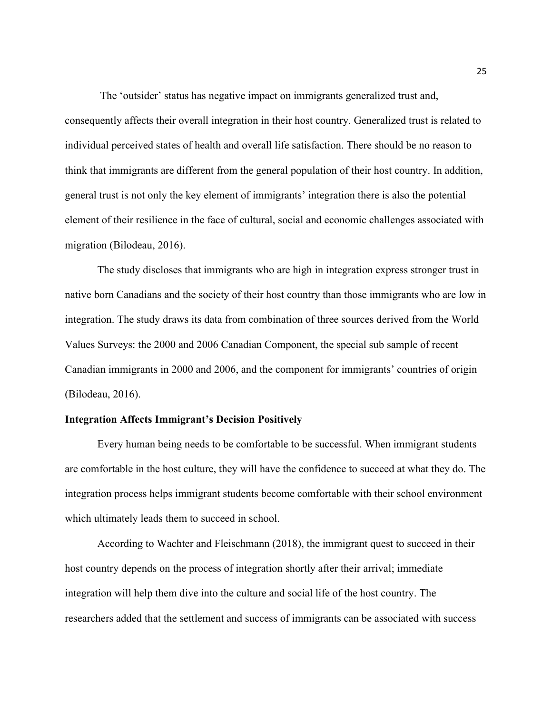The 'outsider' status has negative impact on immigrants generalized trust and, consequently affects their overall integration in their host country. Generalized trust is related to individual perceived states of health and overall life satisfaction. There should be no reason to think that immigrants are different from the general population of their host country. In addition, general trust is not only the key element of immigrants' integration there is also the potential element of their resilience in the face of cultural, social and economic challenges associated with migration (Bilodeau, 2016).

The study discloses that immigrants who are high in integration express stronger trust in native born Canadians and the society of their host country than those immigrants who are low in integration. The study draws its data from combination of three sources derived from the World Values Surveys: the 2000 and 2006 Canadian Component, the special sub sample of recent Canadian immigrants in 2000 and 2006, and the component for immigrants' countries of origin (Bilodeau, 2016).

#### **Integration Affects Immigrant's Decision Positively**

Every human being needs to be comfortable to be successful. When immigrant students are comfortable in the host culture, they will have the confidence to succeed at what they do. The integration process helps immigrant students become comfortable with their school environment which ultimately leads them to succeed in school.

According to Wachter and Fleischmann (2018), the immigrant quest to succeed in their host country depends on the process of integration shortly after their arrival; immediate integration will help them dive into the culture and social life of the host country. The researchers added that the settlement and success of immigrants can be associated with success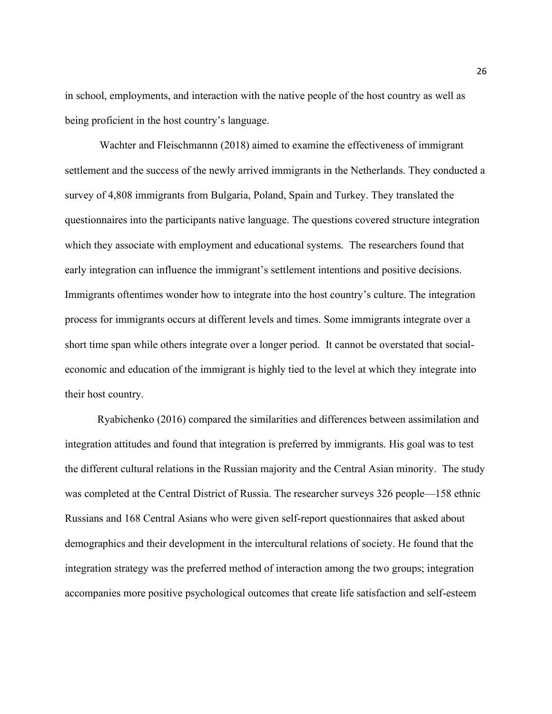in school, employments, and interaction with the native people of the host country as well as being proficient in the host country's language.

Wachter and Fleischmannn (2018) aimed to examine the effectiveness of immigrant settlement and the success of the newly arrived immigrants in the Netherlands. They conducted a survey of 4,808 immigrants from Bulgaria, Poland, Spain and Turkey. They translated the questionnaires into the participants native language. The questions covered structure integration which they associate with employment and educational systems. The researchers found that early integration can influence the immigrant's settlement intentions and positive decisions. Immigrants oftentimes wonder how to integrate into the host country's culture. The integration process for immigrants occurs at different levels and times. Some immigrants integrate over a short time span while others integrate over a longer period. It cannot be overstated that socialeconomic and education of the immigrant is highly tied to the level at which they integrate into their host country.

Ryabichenko (2016) compared the similarities and differences between assimilation and integration attitudes and found that integration is preferred by immigrants. His goal was to test the different cultural relations in the Russian majority and the Central Asian minority. The study was completed at the Central District of Russia. The researcher surveys 326 people—158 ethnic Russians and 168 Central Asians who were given self-report questionnaires that asked about demographics and their development in the intercultural relations of society. He found that the integration strategy was the preferred method of interaction among the two groups; integration accompanies more positive psychological outcomes that create life satisfaction and self-esteem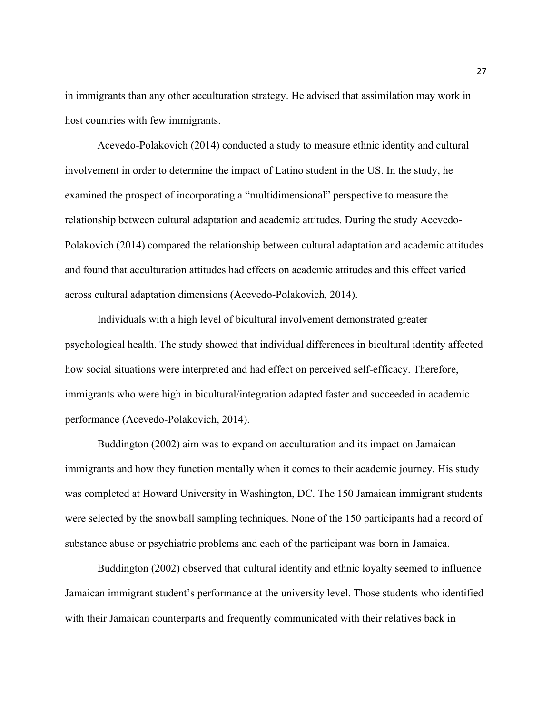in immigrants than any other acculturation strategy. He advised that assimilation may work in host countries with few immigrants.

Acevedo-Polakovich (2014) conducted a study to measure ethnic identity and cultural involvement in order to determine the impact of Latino student in the US. In the study, he examined the prospect of incorporating a "multidimensional" perspective to measure the relationship between cultural adaptation and academic attitudes. During the study Acevedo-Polakovich (2014) compared the relationship between cultural adaptation and academic attitudes and found that acculturation attitudes had effects on academic attitudes and this effect varied across cultural adaptation dimensions (Acevedo-Polakovich, 2014).

Individuals with a high level of bicultural involvement demonstrated greater psychological health. The study showed that individual differences in bicultural identity affected how social situations were interpreted and had effect on perceived self-efficacy. Therefore, immigrants who were high in bicultural/integration adapted faster and succeeded in academic performance (Acevedo-Polakovich, 2014).

Buddington (2002) aim was to expand on acculturation and its impact on Jamaican immigrants and how they function mentally when it comes to their academic journey. His study was completed at Howard University in Washington, DC. The 150 Jamaican immigrant students were selected by the snowball sampling techniques. None of the 150 participants had a record of substance abuse or psychiatric problems and each of the participant was born in Jamaica.

Buddington (2002) observed that cultural identity and ethnic loyalty seemed to influence Jamaican immigrant student's performance at the university level. Those students who identified with their Jamaican counterparts and frequently communicated with their relatives back in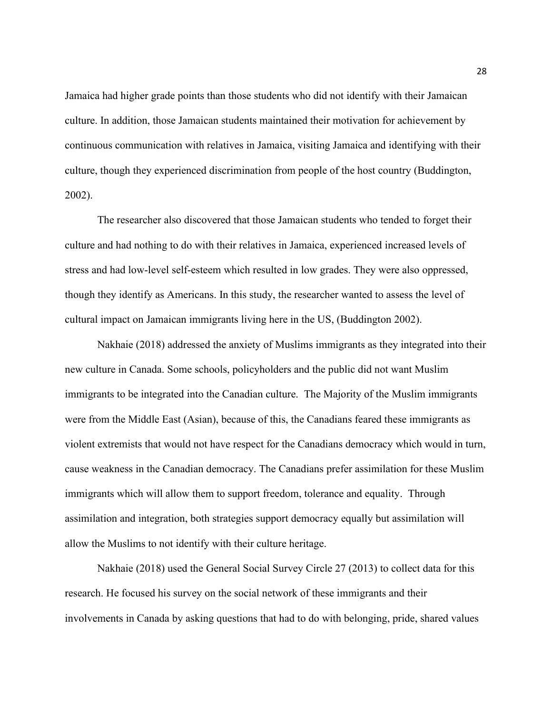Jamaica had higher grade points than those students who did not identify with their Jamaican culture. In addition, those Jamaican students maintained their motivation for achievement by continuous communication with relatives in Jamaica, visiting Jamaica and identifying with their culture, though they experienced discrimination from people of the host country (Buddington, 2002).

The researcher also discovered that those Jamaican students who tended to forget their culture and had nothing to do with their relatives in Jamaica, experienced increased levels of stress and had low-level self-esteem which resulted in low grades. They were also oppressed, though they identify as Americans. In this study, the researcher wanted to assess the level of cultural impact on Jamaican immigrants living here in the US, (Buddington 2002).

Nakhaie (2018) addressed the anxiety of Muslims immigrants as they integrated into their new culture in Canada. Some schools, policyholders and the public did not want Muslim immigrants to be integrated into the Canadian culture. The Majority of the Muslim immigrants were from the Middle East (Asian), because of this, the Canadians feared these immigrants as violent extremists that would not have respect for the Canadians democracy which would in turn, cause weakness in the Canadian democracy. The Canadians prefer assimilation for these Muslim immigrants which will allow them to support freedom, tolerance and equality. Through assimilation and integration, both strategies support democracy equally but assimilation will allow the Muslims to not identify with their culture heritage.

Nakhaie (2018) used the General Social Survey Circle 27 (2013) to collect data for this research. He focused his survey on the social network of these immigrants and their involvements in Canada by asking questions that had to do with belonging, pride, shared values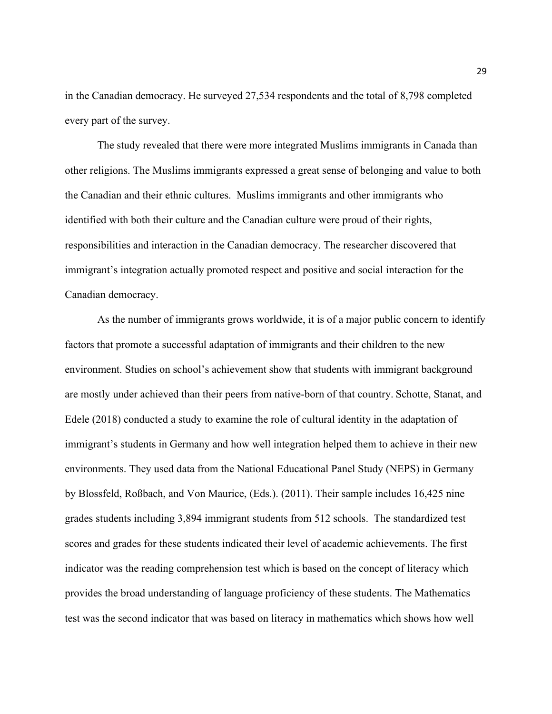in the Canadian democracy. He surveyed 27,534 respondents and the total of 8,798 completed every part of the survey.

The study revealed that there were more integrated Muslims immigrants in Canada than other religions. The Muslims immigrants expressed a great sense of belonging and value to both the Canadian and their ethnic cultures. Muslims immigrants and other immigrants who identified with both their culture and the Canadian culture were proud of their rights, responsibilities and interaction in the Canadian democracy. The researcher discovered that immigrant's integration actually promoted respect and positive and social interaction for the Canadian democracy.

As the number of immigrants grows worldwide, it is of a major public concern to identify factors that promote a successful adaptation of immigrants and their children to the new environment. Studies on school's achievement show that students with immigrant background are mostly under achieved than their peers from native-born of that country. Schotte, Stanat, and Edele (2018) conducted a study to examine the role of cultural identity in the adaptation of immigrant's students in Germany and how well integration helped them to achieve in their new environments. They used data from the National Educational Panel Study (NEPS) in Germany by Blossfeld, Roßbach, and Von Maurice, (Eds.). (2011). Their sample includes 16,425 nine grades students including 3,894 immigrant students from 512 schools. The standardized test scores and grades for these students indicated their level of academic achievements. The first indicator was the reading comprehension test which is based on the concept of literacy which provides the broad understanding of language proficiency of these students. The Mathematics test was the second indicator that was based on literacy in mathematics which shows how well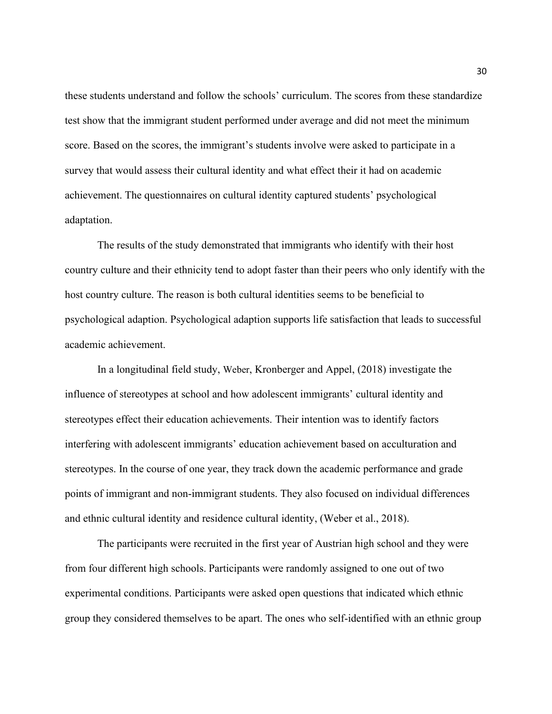these students understand and follow the schools' curriculum. The scores from these standardize test show that the immigrant student performed under average and did not meet the minimum score. Based on the scores, the immigrant's students involve were asked to participate in a survey that would assess their cultural identity and what effect their it had on academic achievement. The questionnaires on cultural identity captured students' psychological adaptation.

The results of the study demonstrated that immigrants who identify with their host country culture and their ethnicity tend to adopt faster than their peers who only identify with the host country culture. The reason is both cultural identities seems to be beneficial to psychological adaption. Psychological adaption supports life satisfaction that leads to successful academic achievement.

In a longitudinal field study, Weber, Kronberger and Appel, (2018) investigate the influence of stereotypes at school and how adolescent immigrants' cultural identity and stereotypes effect their education achievements. Their intention was to identify factors interfering with adolescent immigrants' education achievement based on acculturation and stereotypes. In the course of one year, they track down the academic performance and grade points of immigrant and non-immigrant students. They also focused on individual differences and ethnic cultural identity and residence cultural identity, (Weber et al., 2018).

The participants were recruited in the first year of Austrian high school and they were from four different high schools. Participants were randomly assigned to one out of two experimental conditions. Participants were asked open questions that indicated which ethnic group they considered themselves to be apart. The ones who self-identified with an ethnic group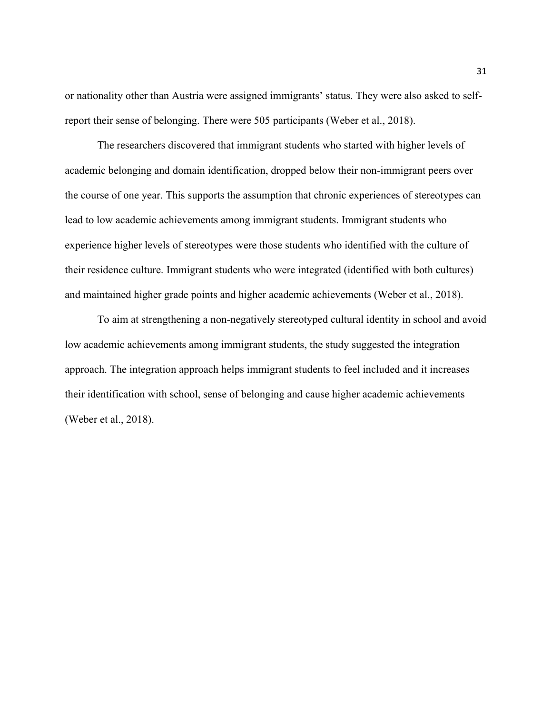or nationality other than Austria were assigned immigrants' status. They were also asked to selfreport their sense of belonging. There were 505 participants (Weber et al., 2018).

The researchers discovered that immigrant students who started with higher levels of academic belonging and domain identification, dropped below their non-immigrant peers over the course of one year. This supports the assumption that chronic experiences of stereotypes can lead to low academic achievements among immigrant students. Immigrant students who experience higher levels of stereotypes were those students who identified with the culture of their residence culture. Immigrant students who were integrated (identified with both cultures) and maintained higher grade points and higher academic achievements (Weber et al., 2018).

To aim at strengthening a non-negatively stereotyped cultural identity in school and avoid low academic achievements among immigrant students, the study suggested the integration approach. The integration approach helps immigrant students to feel included and it increases their identification with school, sense of belonging and cause higher academic achievements (Weber et al., 2018).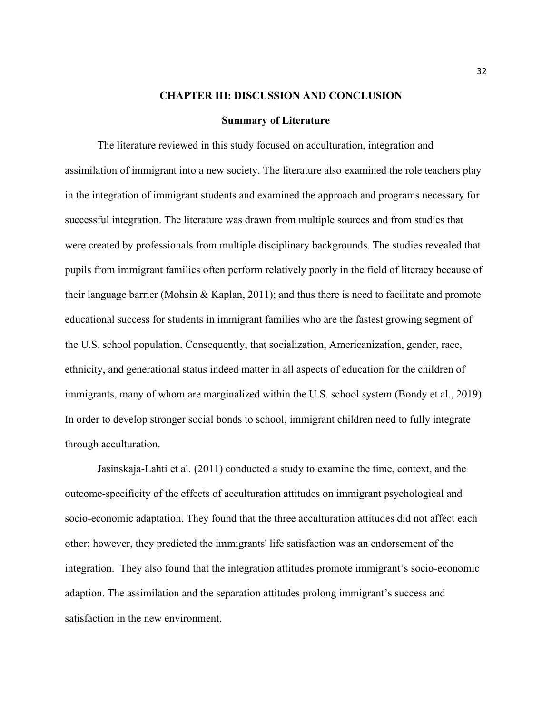#### **CHAPTER III: DISCUSSION AND CONCLUSION**

#### **Summary of Literature**

The literature reviewed in this study focused on acculturation, integration and assimilation of immigrant into a new society. The literature also examined the role teachers play in the integration of immigrant students and examined the approach and programs necessary for successful integration. The literature was drawn from multiple sources and from studies that were created by professionals from multiple disciplinary backgrounds. The studies revealed that pupils from immigrant families often perform relatively poorly in the field of literacy because of their language barrier (Mohsin & Kaplan, 2011); and thus there is need to facilitate and promote educational success for students in immigrant families who are the fastest growing segment of the U.S. school population. Consequently, that socialization, Americanization, gender, race, ethnicity, and generational status indeed matter in all aspects of education for the children of immigrants, many of whom are marginalized within the U.S. school system (Bondy et al., 2019). In order to develop stronger social bonds to school, immigrant children need to fully integrate through acculturation.

Jasinskaja-Lahti et al. (2011) conducted a study to examine the time, context, and the outcome-specificity of the effects of acculturation attitudes on immigrant psychological and socio-economic adaptation. They found that the three acculturation attitudes did not affect each other; however, they predicted the immigrants' life satisfaction was an endorsement of the integration. They also found that the integration attitudes promote immigrant's socio-economic adaption. The assimilation and the separation attitudes prolong immigrant's success and satisfaction in the new environment.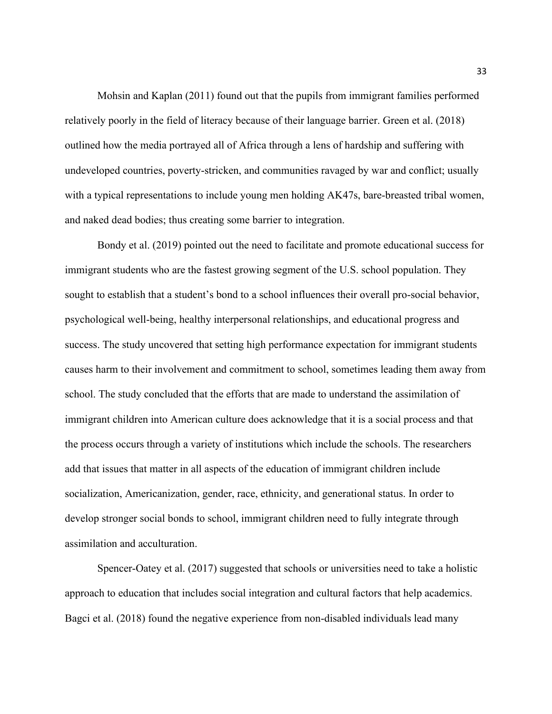Mohsin and Kaplan (2011) found out that the pupils from immigrant families performed relatively poorly in the field of literacy because of their language barrier. Green et al. (2018) outlined how the media portrayed all of Africa through a lens of hardship and suffering with undeveloped countries, poverty-stricken, and communities ravaged by war and conflict; usually with a typical representations to include young men holding AK47s, bare-breasted tribal women, and naked dead bodies; thus creating some barrier to integration.

Bondy et al. (2019) pointed out the need to facilitate and promote educational success for immigrant students who are the fastest growing segment of the U.S. school population. They sought to establish that a student's bond to a school influences their overall pro-social behavior, psychological well-being, healthy interpersonal relationships, and educational progress and success. The study uncovered that setting high performance expectation for immigrant students causes harm to their involvement and commitment to school, sometimes leading them away from school. The study concluded that the efforts that are made to understand the assimilation of immigrant children into American culture does acknowledge that it is a social process and that the process occurs through a variety of institutions which include the schools. The researchers add that issues that matter in all aspects of the education of immigrant children include socialization, Americanization, gender, race, ethnicity, and generational status. In order to develop stronger social bonds to school, immigrant children need to fully integrate through assimilation and acculturation.

Spencer-Oatey et al. (2017) suggested that schools or universities need to take a holistic approach to education that includes social integration and cultural factors that help academics. Bagci et al. (2018) found the negative experience from non-disabled individuals lead many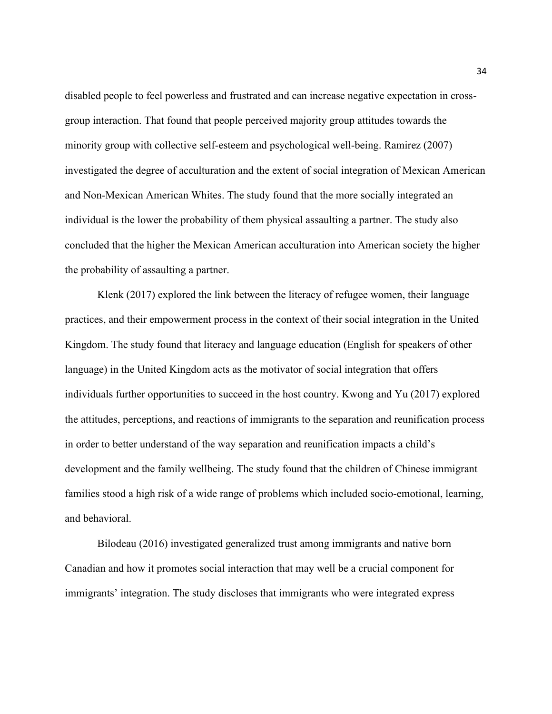disabled people to feel powerless and frustrated and can increase negative expectation in crossgroup interaction. That found that people perceived majority group attitudes towards the minority group with collective self-esteem and psychological well-being. Ramirez (2007) investigated the degree of acculturation and the extent of social integration of Mexican American and Non-Mexican American Whites. The study found that the more socially integrated an individual is the lower the probability of them physical assaulting a partner. The study also concluded that the higher the Mexican American acculturation into American society the higher the probability of assaulting a partner.

Klenk (2017) explored the link between the literacy of refugee women, their language practices, and their empowerment process in the context of their social integration in the United Kingdom. The study found that literacy and language education (English for speakers of other language) in the United Kingdom acts as the motivator of social integration that offers individuals further opportunities to succeed in the host country. Kwong and Yu (2017) explored the attitudes, perceptions, and reactions of immigrants to the separation and reunification process in order to better understand of the way separation and reunification impacts a child's development and the family wellbeing. The study found that the children of Chinese immigrant families stood a high risk of a wide range of problems which included socio-emotional, learning, and behavioral.

Bilodeau (2016) investigated generalized trust among immigrants and native born Canadian and how it promotes social interaction that may well be a crucial component for immigrants' integration. The study discloses that immigrants who were integrated express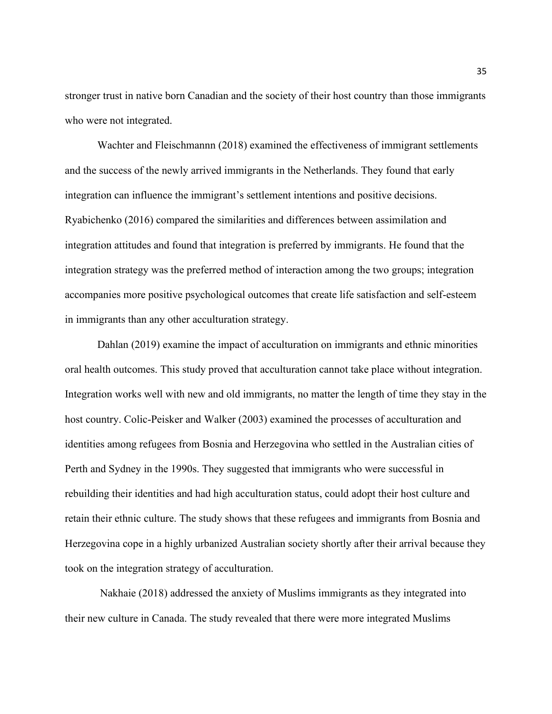stronger trust in native born Canadian and the society of their host country than those immigrants who were not integrated.

Wachter and Fleischmannn (2018) examined the effectiveness of immigrant settlements and the success of the newly arrived immigrants in the Netherlands. They found that early integration can influence the immigrant's settlement intentions and positive decisions. Ryabichenko (2016) compared the similarities and differences between assimilation and integration attitudes and found that integration is preferred by immigrants. He found that the integration strategy was the preferred method of interaction among the two groups; integration accompanies more positive psychological outcomes that create life satisfaction and self-esteem in immigrants than any other acculturation strategy.

Dahlan (2019) examine the impact of acculturation on immigrants and ethnic minorities oral health outcomes. This study proved that acculturation cannot take place without integration. Integration works well with new and old immigrants, no matter the length of time they stay in the host country. Colic-Peisker and Walker (2003) examined the processes of acculturation and identities among refugees from Bosnia and Herzegovina who settled in the Australian cities of Perth and Sydney in the 1990s. They suggested that immigrants who were successful in rebuilding their identities and had high acculturation status, could adopt their host culture and retain their ethnic culture. The study shows that these refugees and immigrants from Bosnia and Herzegovina cope in a highly urbanized Australian society shortly after their arrival because they took on the integration strategy of acculturation.

Nakhaie (2018) addressed the anxiety of Muslims immigrants as they integrated into their new culture in Canada. The study revealed that there were more integrated Muslims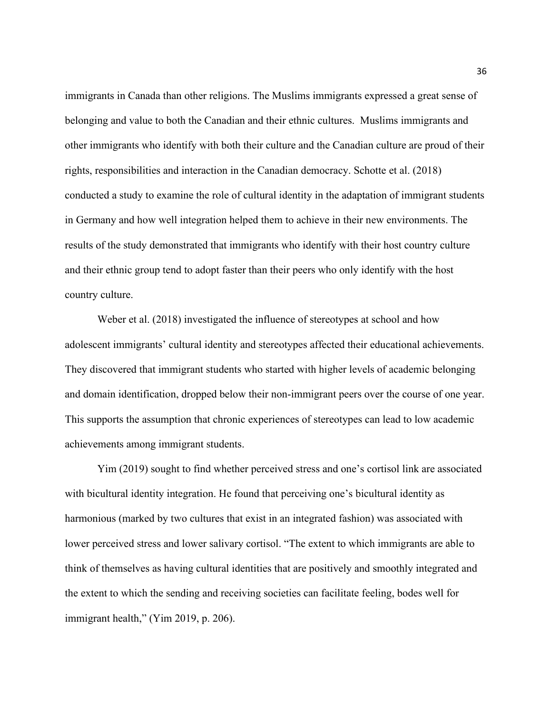immigrants in Canada than other religions. The Muslims immigrants expressed a great sense of belonging and value to both the Canadian and their ethnic cultures. Muslims immigrants and other immigrants who identify with both their culture and the Canadian culture are proud of their rights, responsibilities and interaction in the Canadian democracy. Schotte et al. (2018) conducted a study to examine the role of cultural identity in the adaptation of immigrant students in Germany and how well integration helped them to achieve in their new environments. The results of the study demonstrated that immigrants who identify with their host country culture and their ethnic group tend to adopt faster than their peers who only identify with the host country culture.

Weber et al. (2018) investigated the influence of stereotypes at school and how adolescent immigrants' cultural identity and stereotypes affected their educational achievements. They discovered that immigrant students who started with higher levels of academic belonging and domain identification, dropped below their non-immigrant peers over the course of one year. This supports the assumption that chronic experiences of stereotypes can lead to low academic achievements among immigrant students.

Yim (2019) sought to find whether perceived stress and one's cortisol link are associated with bicultural identity integration. He found that perceiving one's bicultural identity as harmonious (marked by two cultures that exist in an integrated fashion) was associated with lower perceived stress and lower salivary cortisol. "The extent to which immigrants are able to think of themselves as having cultural identities that are positively and smoothly integrated and the extent to which the sending and receiving societies can facilitate feeling, bodes well for immigrant health," (Yim 2019, p. 206).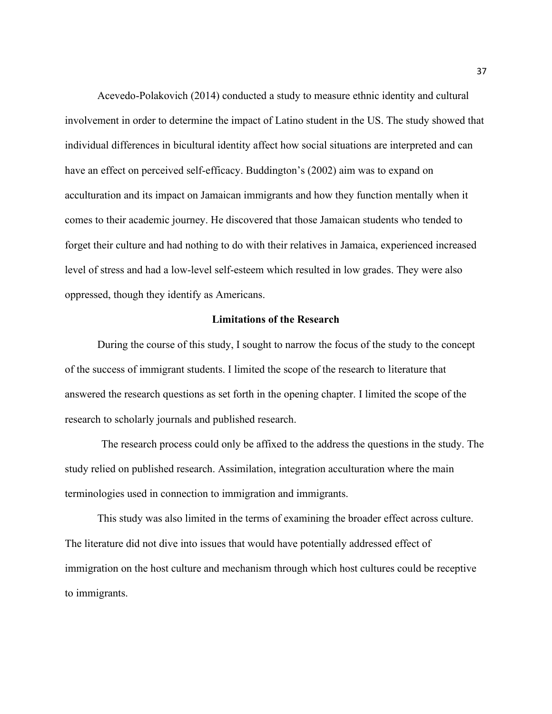Acevedo-Polakovich (2014) conducted a study to measure ethnic identity and cultural involvement in order to determine the impact of Latino student in the US. The study showed that individual differences in bicultural identity affect how social situations are interpreted and can have an effect on perceived self-efficacy. Buddington's (2002) aim was to expand on acculturation and its impact on Jamaican immigrants and how they function mentally when it comes to their academic journey. He discovered that those Jamaican students who tended to forget their culture and had nothing to do with their relatives in Jamaica, experienced increased level of stress and had a low-level self-esteem which resulted in low grades. They were also oppressed, though they identify as Americans.

#### **Limitations of the Research**

During the course of this study, I sought to narrow the focus of the study to the concept of the success of immigrant students. I limited the scope of the research to literature that answered the research questions as set forth in the opening chapter. I limited the scope of the research to scholarly journals and published research.

The research process could only be affixed to the address the questions in the study. The study relied on published research. Assimilation, integration acculturation where the main terminologies used in connection to immigration and immigrants.

This study was also limited in the terms of examining the broader effect across culture. The literature did not dive into issues that would have potentially addressed effect of immigration on the host culture and mechanism through which host cultures could be receptive to immigrants.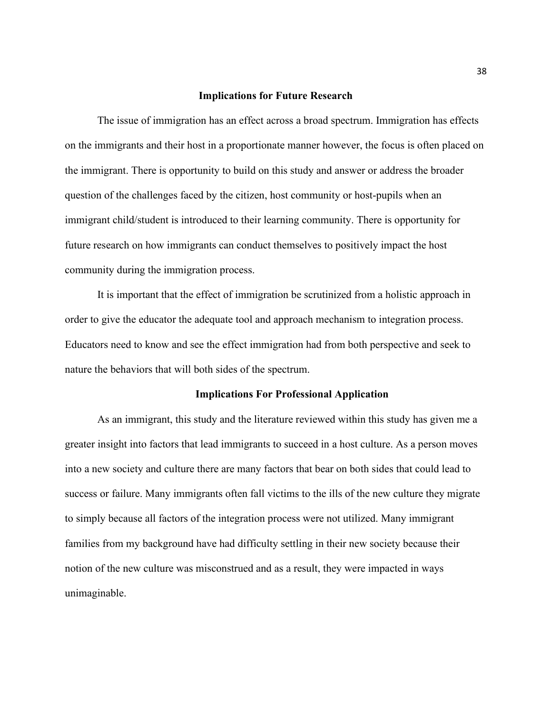#### **Implications for Future Research**

The issue of immigration has an effect across a broad spectrum. Immigration has effects on the immigrants and their host in a proportionate manner however, the focus is often placed on the immigrant. There is opportunity to build on this study and answer or address the broader question of the challenges faced by the citizen, host community or host-pupils when an immigrant child/student is introduced to their learning community. There is opportunity for future research on how immigrants can conduct themselves to positively impact the host community during the immigration process.

It is important that the effect of immigration be scrutinized from a holistic approach in order to give the educator the adequate tool and approach mechanism to integration process. Educators need to know and see the effect immigration had from both perspective and seek to nature the behaviors that will both sides of the spectrum.

#### **Implications For Professional Application**

As an immigrant, this study and the literature reviewed within this study has given me a greater insight into factors that lead immigrants to succeed in a host culture. As a person moves into a new society and culture there are many factors that bear on both sides that could lead to success or failure. Many immigrants often fall victims to the ills of the new culture they migrate to simply because all factors of the integration process were not utilized. Many immigrant families from my background have had difficulty settling in their new society because their notion of the new culture was misconstrued and as a result, they were impacted in ways unimaginable.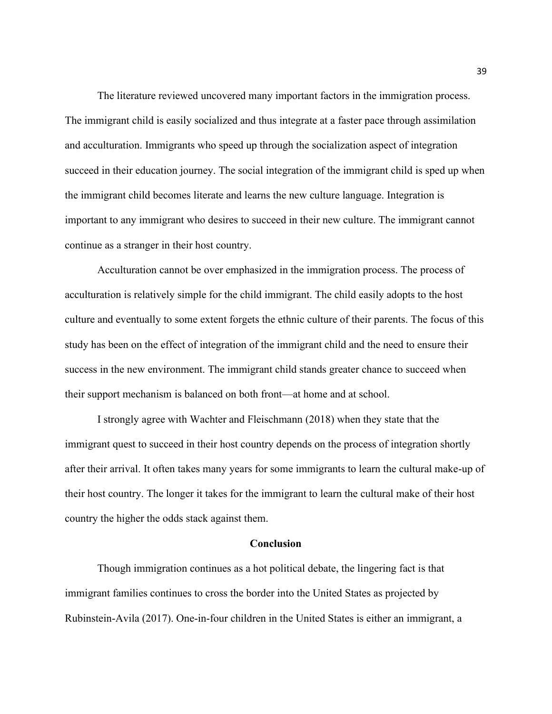The literature reviewed uncovered many important factors in the immigration process. The immigrant child is easily socialized and thus integrate at a faster pace through assimilation and acculturation. Immigrants who speed up through the socialization aspect of integration succeed in their education journey. The social integration of the immigrant child is sped up when the immigrant child becomes literate and learns the new culture language. Integration is important to any immigrant who desires to succeed in their new culture. The immigrant cannot continue as a stranger in their host country.

Acculturation cannot be over emphasized in the immigration process. The process of acculturation is relatively simple for the child immigrant. The child easily adopts to the host culture and eventually to some extent forgets the ethnic culture of their parents. The focus of this study has been on the effect of integration of the immigrant child and the need to ensure their success in the new environment. The immigrant child stands greater chance to succeed when their support mechanism is balanced on both front—at home and at school.

I strongly agree with Wachter and Fleischmann (2018) when they state that the immigrant quest to succeed in their host country depends on the process of integration shortly after their arrival. It often takes many years for some immigrants to learn the cultural make-up of their host country. The longer it takes for the immigrant to learn the cultural make of their host country the higher the odds stack against them.

#### **Conclusion**

Though immigration continues as a hot political debate, the lingering fact is that immigrant families continues to cross the border into the United States as projected by Rubinstein-Avila (2017). One-in-four children in the United States is either an immigrant, a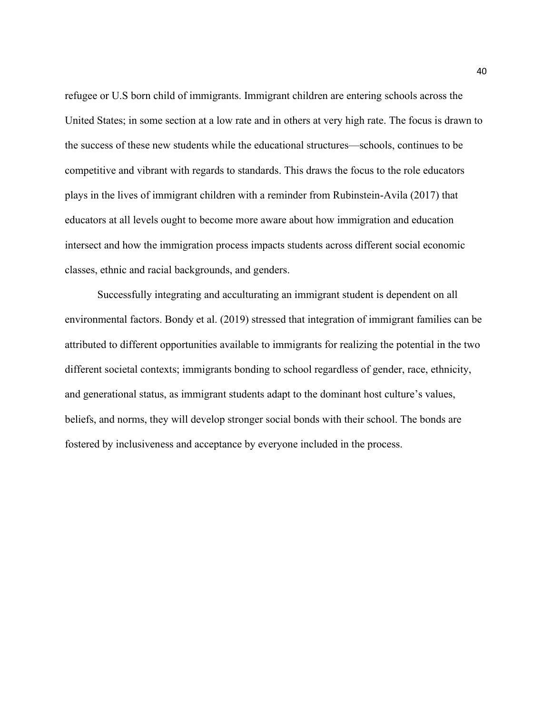refugee or U.S born child of immigrants. Immigrant children are entering schools across the United States; in some section at a low rate and in others at very high rate. The focus is drawn to the success of these new students while the educational structures—schools, continues to be competitive and vibrant with regards to standards. This draws the focus to the role educators plays in the lives of immigrant children with a reminder from Rubinstein-Avila (2017) that educators at all levels ought to become more aware about how immigration and education intersect and how the immigration process impacts students across different social economic classes, ethnic and racial backgrounds, and genders.

Successfully integrating and acculturating an immigrant student is dependent on all environmental factors. Bondy et al. (2019) stressed that integration of immigrant families can be attributed to different opportunities available to immigrants for realizing the potential in the two different societal contexts; immigrants bonding to school regardless of gender, race, ethnicity, and generational status, as immigrant students adapt to the dominant host culture's values, beliefs, and norms, they will develop stronger social bonds with their school. The bonds are fostered by inclusiveness and acceptance by everyone included in the process.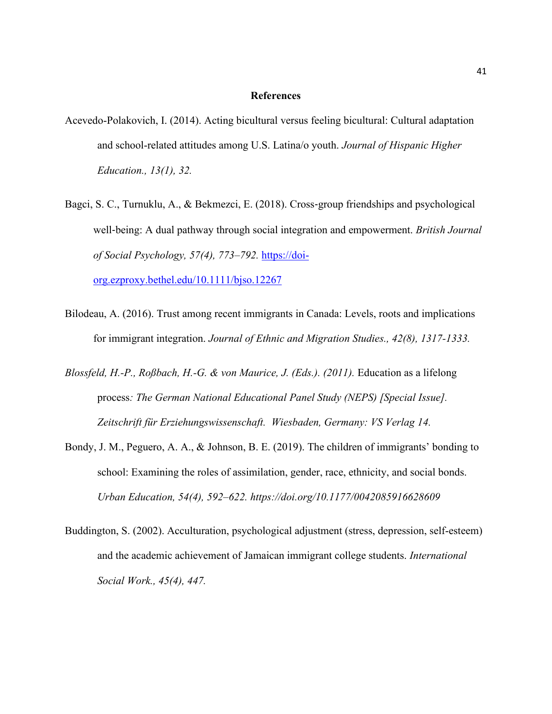#### **References**

- Acevedo-Polakovich, I. (2014). Acting bicultural versus feeling bicultural: Cultural adaptation and school-related attitudes among U.S. Latina/o youth. *Journal of Hispanic Higher Education., 13(1), 32.*
- Bagci, S. C., Turnuklu, A., & Bekmezci, E. (2018). Cross-group friendships and psychological well-being: A dual pathway through social integration and empowerment. *British Journal of Social Psychology, 57(4), 773–792.* [https://doi-](https://doi-org.ezproxy.bethel.edu/10.1111/bjso.12267)

[org.ezproxy.bethel.edu/10.1111/bjso.12267](https://doi-org.ezproxy.bethel.edu/10.1111/bjso.12267)

- Bilodeau, A. (2016). Trust among recent immigrants in Canada: Levels, roots and implications for immigrant integration. *Journal of Ethnic and Migration Studies., 42(8), 1317-1333.*
- *Blossfeld, H.-P., Roßbach, H.-G. & von Maurice, J. (Eds.). (2011).* Education as a lifelong process*: The German National Educational Panel Study (NEPS) [Special Issue]. Zeitschrift für Erziehungswissenschaft. Wiesbaden, Germany: VS Verlag 14.*
- Bondy, J. M., Peguero, A. A., & Johnson, B. E. (2019). The children of immigrants' bonding to school: Examining the roles of assimilation, gender, race, ethnicity, and social bonds. *Urban Education, 54(4), 592–622. https://doi.org[/10.1177/0042085916628609](https://doi-org.ezproxy.bethel.edu/10.1177/0042085916628609)*
- Buddington, S. (2002). Acculturation, psychological adjustment (stress, depression, self-esteem) and the academic achievement of Jamaican immigrant college students. *International Social Work., 45(4), 447.*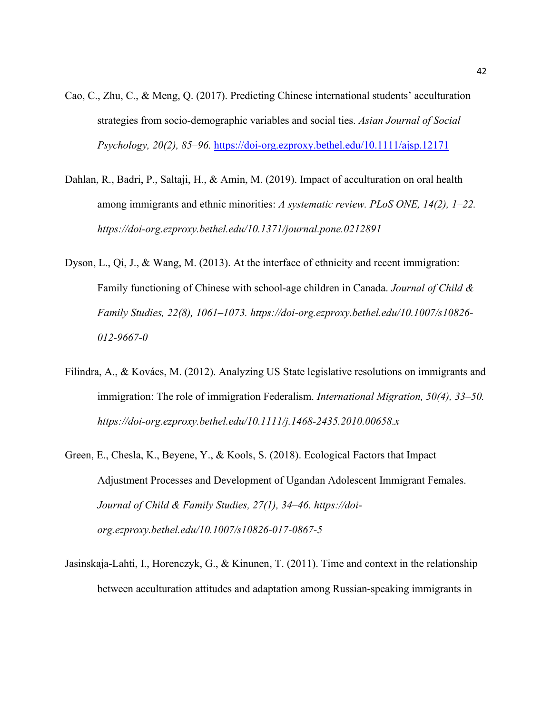- Cao, C., Zhu, C., & Meng, Q. (2017). Predicting Chinese international students' acculturation strategies from socio-demographic variables and social ties. *Asian Journal of Social Psychology, 20(2), 85–96.* <https://doi-org.ezproxy.bethel.edu/10.1111/ajsp.12171>
- Dahlan, R., Badri, P., Saltaji, H., & Amin, M. (2019). Impact of acculturation on oral health among immigrants and ethnic minorities: *A systematic review. PLoS ONE, 14(2), 1–22. https://doi-org.ezproxy.bethel.edu/10.1371/journal.pone.0212891*
- Dyson, L., Qi, J., & Wang, M. (2013). At the interface of ethnicity and recent immigration: Family functioning of Chinese with school-age children in Canada. *Journal of Child & Family Studies, 22(8), 1061–1073. [https://doi-org.ezproxy.bethel.edu/10.1007/s10826-](https://doi-org.ezproxy.bethel.edu/10.1007/s10826-012-9667-0) [012-9667-0](https://doi-org.ezproxy.bethel.edu/10.1007/s10826-012-9667-0)*
- Filindra, A., & Kovács, M. (2012). Analyzing US State legislative resolutions on immigrants and immigration: The role of immigration Federalism. *International Migration, 50(4), 33–50. <https://doi-org.ezproxy.bethel.edu/10.1111/j.1468-2435.2010.00658.x>*
- Green, E., Chesla, K., Beyene, Y., & Kools, S. (2018). Ecological Factors that Impact Adjustment Processes and Development of Ugandan Adolescent Immigrant Females. *Journal of Child & Family Studies, 27(1), 34–46. https://doiorg.ezproxy.bethel.edu/10.1007/s10826-017-0867-5*
- Jasinskaja-Lahti, I., Horenczyk, G., & Kinunen, T. (2011). Time and context in the relationship between acculturation attitudes and adaptation among Russian-speaking immigrants in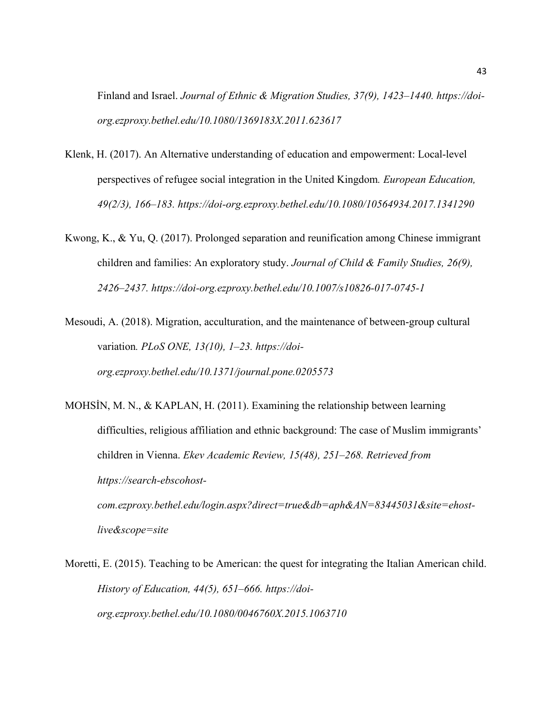Finland and Israel. *Journal of Ethnic & Migration Studies, 37(9), 1423–1440. [https://doi](https://doi-org.ezproxy.bethel.edu/10.1080/1369183X.2011.623617)[org.ezproxy.bethel.edu/10.1080/1369183X.2011.623617](https://doi-org.ezproxy.bethel.edu/10.1080/1369183X.2011.623617)*

- Klenk, H. (2017). An Alternative understanding of education and empowerment: Local-level perspectives of refugee social integration in the United Kingdom*. European Education, 49(2/3), 166–183. https://doi-org.ezproxy.bethel.edu/10.1080/10564934.2017.1341290*
- Kwong, K., & Yu, Q. (2017). Prolonged separation and reunification among Chinese immigrant children and families: An exploratory study. *Journal of Child & Family Studies, 26(9), 2426–2437. https://doi-org.ezproxy.bethel.edu/10.1007/s10826-017-0745-1*

Mesoudi, A. (2018). Migration, acculturation, and the maintenance of between-group cultural variation*. PLoS ONE, 13(10), 1–23. [https://doi](https://doi-org.ezproxy.bethel.edu/10.1371/journal.pone.0205573)[org.ezproxy.bethel.edu/10.1371/journal.pone.0205573](https://doi-org.ezproxy.bethel.edu/10.1371/journal.pone.0205573)*

MOHSİN, M. N., & KAPLAN, H. (2011). Examining the relationship between learning difficulties, religious affiliation and ethnic background: The case of Muslim immigrants' children in Vienna. *Ekev Academic Review, 15(48), 251–268. Retrieved from https://search-ebscohostcom.ezproxy.bethel.edu/login.aspx?direct=true&db=aph&AN=83445031&site=ehostlive&scope=site*

Moretti, E. (2015). Teaching to be American: the quest for integrating the Italian American child. *History of Education, 44(5), 651–666. [https://doi](https://doi-org.ezproxy.bethel.edu/10.1080/0046760X.2015.1063710)[org.ezproxy.bethel.edu/10.1080/0046760X.2015.1063710](https://doi-org.ezproxy.bethel.edu/10.1080/0046760X.2015.1063710)*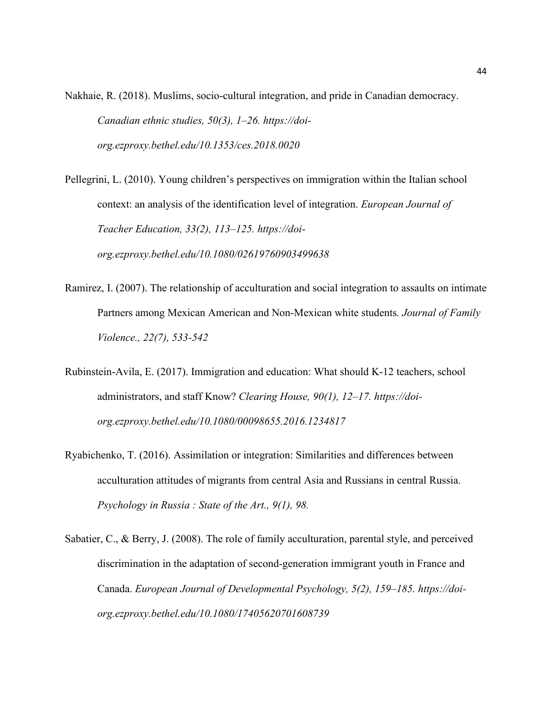Nakhaie, R. (2018). Muslims, socio-cultural integration, and pride in Canadian democracy. *Canadian ethnic studies, 50(3), 1–26. [https://doi](https://doi-org.ezproxy.bethel.edu/10.1353/ces.2018.0020)[org.ezproxy.bethel.edu/10.1353/ces.2018.0020](https://doi-org.ezproxy.bethel.edu/10.1353/ces.2018.0020)*

Pellegrini, L. (2010). Young children's perspectives on immigration within the Italian school context: an analysis of the identification level of integration. *European Journal of Teacher Education, 33(2), 113–125. [https://doi](https://doi-org.ezproxy.bethel.edu/10.1080/02619760903499638)[org.ezproxy.bethel.edu/10.1080/02619760903499638](https://doi-org.ezproxy.bethel.edu/10.1080/02619760903499638)*

- Ramirez, I. (2007). The relationship of acculturation and social integration to assaults on intimate Partners among Mexican American and Non-Mexican white students*. Journal of Family Violence., 22(7), 533-542*
- Rubinstein-Avila, E. (2017). Immigration and education: What should K-12 teachers, school administrators, and staff Know? *Clearing House, 90(1), 12–17. [https://doi](https://doi-org.ezproxy.bethel.edu/10.1080/00098655.2016.1234817)[org.ezproxy.bethel.edu/10.1080/00098655.2016.1234817](https://doi-org.ezproxy.bethel.edu/10.1080/00098655.2016.1234817)*
- Ryabichenko, T. (2016). Assimilation or integration: Similarities and differences between acculturation attitudes of migrants from central Asia and Russians in central Russia. *Psychology in Russia : State of the Art., 9(1), 98.*
- Sabatier, C., & Berry, J. (2008). The role of family acculturation, parental style, and perceived discrimination in the adaptation of second-generation immigrant youth in France and Canada. *European Journal of Developmental Psychology, 5(2), 159–185. https://doiorg.ezproxy.bethel.edu/10.1080/17405620701608739*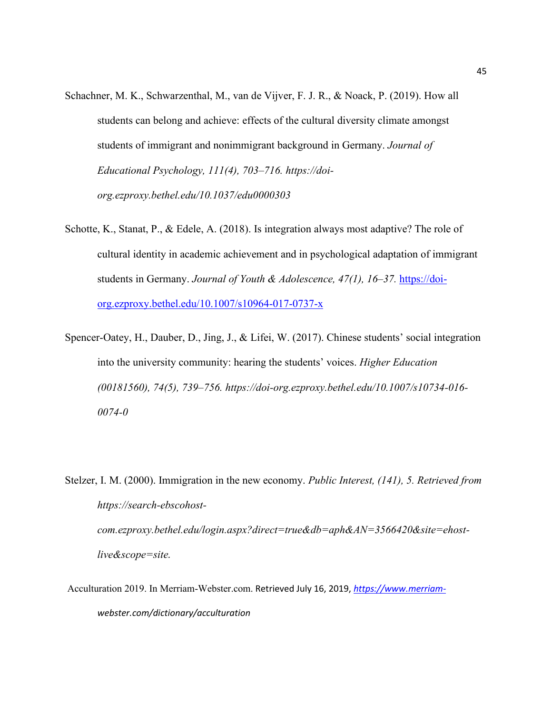- Schachner, M. K., Schwarzenthal, M., van de Vijver, F. J. R., & Noack, P. (2019). How all students can belong and achieve: effects of the cultural diversity climate amongst students of immigrant and nonimmigrant background in Germany. *Journal of Educational Psychology, 111(4), 703–716. https://doiorg.ezproxy.bethel.edu/10.1037/edu0000303*
- Schotte, K., Stanat, P., & Edele, A. (2018). Is integration always most adaptive? The role of cultural identity in academic achievement and in psychological adaptation of immigrant students in Germany. *Journal of Youth & Adolescence, 47(1), 16–37.* [https://doi](https://doi-org.ezproxy.bethel.edu/10.1007/s10964-017-0737-x)[org.ezproxy.bethel.edu/10.1007/s10964-017-0737-x](https://doi-org.ezproxy.bethel.edu/10.1007/s10964-017-0737-x)
- Spencer-Oatey, H., Dauber, D., Jing, J., & Lifei, W. (2017). Chinese students' social integration into the university community: hearing the students' voices. *Higher Education (00181560), 74(5), 739–756. https://doi-org.ezproxy.bethel.edu/10.1007/s10734-016- 0074-0*
- Stelzer, I. M. (2000). Immigration in the new economy. *Public Interest, (141), 5. Retrieved from [https://search-ebscohost](https://search-ebscohost-com.ezproxy.bethel.edu/login.aspx?direct=true&db=aph&AN=3566420&site=ehost-live&scope=site)[com.ezproxy.bethel.edu/login.aspx?direct=true&db=aph&AN=3566420&site=ehost](https://search-ebscohost-com.ezproxy.bethel.edu/login.aspx?direct=true&db=aph&AN=3566420&site=ehost-live&scope=site)[live&scope=site](https://search-ebscohost-com.ezproxy.bethel.edu/login.aspx?direct=true&db=aph&AN=3566420&site=ehost-live&scope=site).*
- Acculturation 2019. In Merriam-Webster.com. Retrieved July 16, 2019, *[https://www.merriam](https://www.merriam-/)webster.com/dictionary/acculturation*